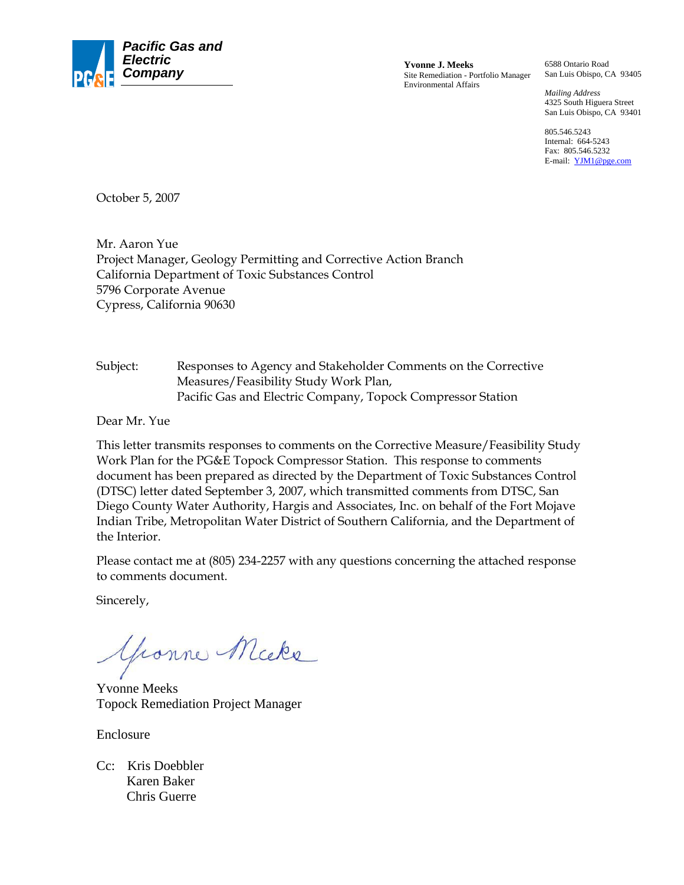

Site Remediation - Portfolio Manager Environmental Affairs

6588 Ontario Road San Luis Obispo, CA 93405

*Mailing Address*  4325 South Higuera Street San Luis Obispo, CA 93401

805.546.5243 Internal: 664-5243 Fax: 805.546.5232 E-mail: YJM1@pge.com

October 5, 2007

Mr. Aaron Yue Project Manager, Geology Permitting and Corrective Action Branch California Department of Toxic Substances Control 5796 Corporate Avenue Cypress, California 90630

Subject: Responses to Agency and Stakeholder Comments on the Corrective Measures/Feasibility Study Work Plan, Pacific Gas and Electric Company, Topock Compressor Station

Dear Mr. Yue

This letter transmits responses to comments on the Corrective Measure/Feasibility Study Work Plan for the PG&E Topock Compressor Station. This response to comments document has been prepared as directed by the Department of Toxic Substances Control (DTSC) letter dated September 3, 2007, which transmitted comments from DTSC, San Diego County Water Authority, Hargis and Associates, Inc. on behalf of the Fort Mojave Indian Tribe, Metropolitan Water District of Southern California, and the Department of the Interior.

Please contact me at (805) 234-2257 with any questions concerning the attached response to comments document.

Sincerely,

Gronne Micke

Yvonne Meeks Topock Remediation Project Manager

Enclosure

Cc: Kris Doebbler Karen Baker Chris Guerre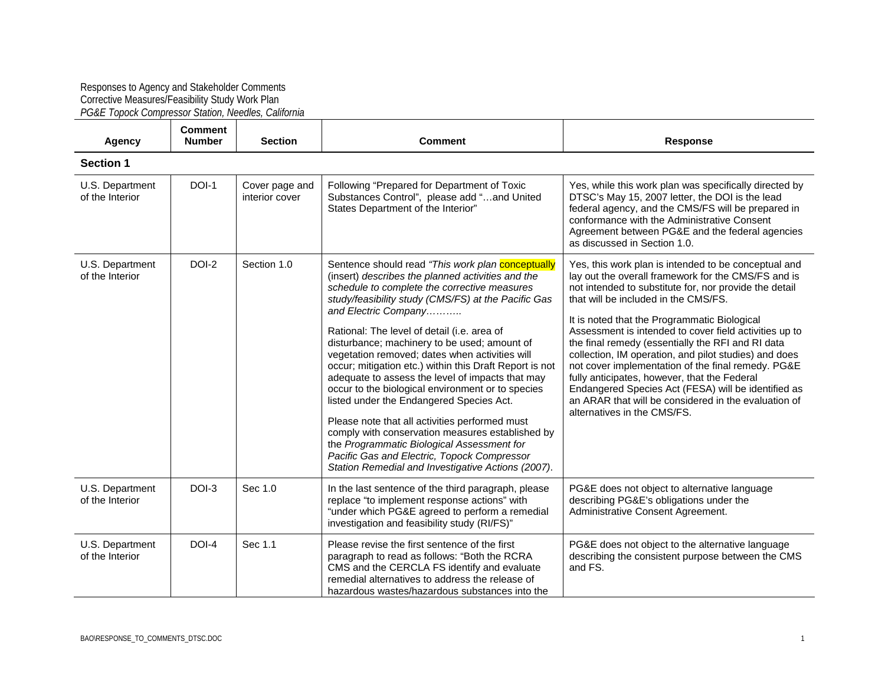## Responses to Agency and Stakeholder Comments Corrective Measures/Feasibility Study Work Plan *PG&E Topock Compressor Station, Needles, California*

 $\mathbf{r}$ 

| <b>Agency</b>                      | <b>Comment</b><br><b>Number</b> | <b>Section</b>                   | <b>Comment</b>                                                                                                                                                                                                                                                                                                                                                                                                                                                                                                                                                                                                                                                                                                                                                                                                                                                  | Response                                                                                                                                                                                                                                                                                                                                                                                                                                                                                                                                                                                                                                                                                  |  |  |  |
|------------------------------------|---------------------------------|----------------------------------|-----------------------------------------------------------------------------------------------------------------------------------------------------------------------------------------------------------------------------------------------------------------------------------------------------------------------------------------------------------------------------------------------------------------------------------------------------------------------------------------------------------------------------------------------------------------------------------------------------------------------------------------------------------------------------------------------------------------------------------------------------------------------------------------------------------------------------------------------------------------|-------------------------------------------------------------------------------------------------------------------------------------------------------------------------------------------------------------------------------------------------------------------------------------------------------------------------------------------------------------------------------------------------------------------------------------------------------------------------------------------------------------------------------------------------------------------------------------------------------------------------------------------------------------------------------------------|--|--|--|
| <b>Section 1</b>                   |                                 |                                  |                                                                                                                                                                                                                                                                                                                                                                                                                                                                                                                                                                                                                                                                                                                                                                                                                                                                 |                                                                                                                                                                                                                                                                                                                                                                                                                                                                                                                                                                                                                                                                                           |  |  |  |
| U.S. Department<br>of the Interior | DOI-1                           | Cover page and<br>interior cover | Following "Prepared for Department of Toxic<br>Substances Control", please add "and United<br>States Department of the Interior"                                                                                                                                                                                                                                                                                                                                                                                                                                                                                                                                                                                                                                                                                                                                | Yes, while this work plan was specifically directed by<br>DTSC's May 15, 2007 letter, the DOI is the lead<br>federal agency, and the CMS/FS will be prepared in<br>conformance with the Administrative Consent<br>Agreement between PG&E and the federal agencies<br>as discussed in Section 1.0.                                                                                                                                                                                                                                                                                                                                                                                         |  |  |  |
| U.S. Department<br>of the Interior | DOI-2                           | Section 1.0                      | Sentence should read "This work plan conceptually<br>(insert) describes the planned activities and the<br>schedule to complete the corrective measures<br>study/feasibility study (CMS/FS) at the Pacific Gas<br>and Electric Company<br>Rational: The level of detail (i.e. area of<br>disturbance; machinery to be used; amount of<br>vegetation removed; dates when activities will<br>occur; mitigation etc.) within this Draft Report is not<br>adequate to assess the level of impacts that may<br>occur to the biological environment or to species<br>listed under the Endangered Species Act.<br>Please note that all activities performed must<br>comply with conservation measures established by<br>the Programmatic Biological Assessment for<br>Pacific Gas and Electric, Topock Compressor<br>Station Remedial and Investigative Actions (2007). | Yes, this work plan is intended to be conceptual and<br>lay out the overall framework for the CMS/FS and is<br>not intended to substitute for, nor provide the detail<br>that will be included in the CMS/FS.<br>It is noted that the Programmatic Biological<br>Assessment is intended to cover field activities up to<br>the final remedy (essentially the RFI and RI data<br>collection, IM operation, and pilot studies) and does<br>not cover implementation of the final remedy. PG&E<br>fully anticipates, however, that the Federal<br>Endangered Species Act (FESA) will be identified as<br>an ARAR that will be considered in the evaluation of<br>alternatives in the CMS/FS. |  |  |  |
| U.S. Department<br>of the Interior | DOI-3                           | Sec 1.0                          | In the last sentence of the third paragraph, please<br>replace "to implement response actions" with<br>"under which PG&E agreed to perform a remedial<br>investigation and feasibility study (RI/FS)"                                                                                                                                                                                                                                                                                                                                                                                                                                                                                                                                                                                                                                                           | PG&E does not object to alternative language<br>describing PG&E's obligations under the<br>Administrative Consent Agreement.                                                                                                                                                                                                                                                                                                                                                                                                                                                                                                                                                              |  |  |  |
| U.S. Department<br>of the Interior | DOI-4                           | Sec 1.1                          | Please revise the first sentence of the first<br>paragraph to read as follows: "Both the RCRA<br>CMS and the CERCLA FS identify and evaluate<br>remedial alternatives to address the release of<br>hazardous wastes/hazardous substances into the                                                                                                                                                                                                                                                                                                                                                                                                                                                                                                                                                                                                               | PG&E does not object to the alternative language<br>describing the consistent purpose between the CMS<br>and FS.                                                                                                                                                                                                                                                                                                                                                                                                                                                                                                                                                                          |  |  |  |

 $\sim$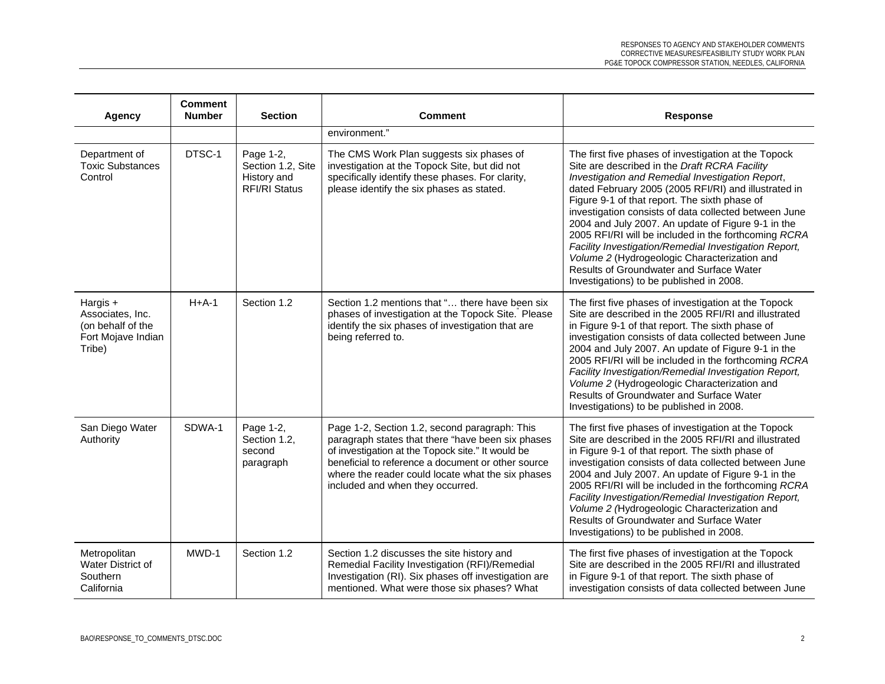| <b>Agency</b>                                                                     | <b>Comment</b><br><b>Number</b> | <b>Section</b>                                                        | <b>Comment</b>                                                                                                                                                                                                                                                                                         | <b>Response</b>                                                                                                                                                                                                                                                                                                                                                                                                                                                                                                                                                                                                                            |
|-----------------------------------------------------------------------------------|---------------------------------|-----------------------------------------------------------------------|--------------------------------------------------------------------------------------------------------------------------------------------------------------------------------------------------------------------------------------------------------------------------------------------------------|--------------------------------------------------------------------------------------------------------------------------------------------------------------------------------------------------------------------------------------------------------------------------------------------------------------------------------------------------------------------------------------------------------------------------------------------------------------------------------------------------------------------------------------------------------------------------------------------------------------------------------------------|
|                                                                                   |                                 |                                                                       | environment."                                                                                                                                                                                                                                                                                          |                                                                                                                                                                                                                                                                                                                                                                                                                                                                                                                                                                                                                                            |
| Department of<br><b>Toxic Substances</b><br>Control                               | DTSC-1                          | Page 1-2,<br>Section 1.2, Site<br>History and<br><b>RFI/RI Status</b> | The CMS Work Plan suggests six phases of<br>investigation at the Topock Site, but did not<br>specifically identify these phases. For clarity,<br>please identify the six phases as stated.                                                                                                             | The first five phases of investigation at the Topock<br>Site are described in the Draft RCRA Facility<br>Investigation and Remedial Investigation Report,<br>dated February 2005 (2005 RFI/RI) and illustrated in<br>Figure 9-1 of that report. The sixth phase of<br>investigation consists of data collected between June<br>2004 and July 2007. An update of Figure 9-1 in the<br>2005 RFI/RI will be included in the forthcoming RCRA<br>Facility Investigation/Remedial Investigation Report,<br>Volume 2 (Hydrogeologic Characterization and<br>Results of Groundwater and Surface Water<br>Investigations) to be published in 2008. |
| Hargis +<br>Associates, Inc.<br>(on behalf of the<br>Fort Mojave Indian<br>Tribe) | $H+A-1$                         | Section 1.2                                                           | Section 1.2 mentions that " there have been six<br>phases of investigation at the Topock Site. Please<br>identify the six phases of investigation that are<br>being referred to.                                                                                                                       | The first five phases of investigation at the Topock<br>Site are described in the 2005 RFI/RI and illustrated<br>in Figure 9-1 of that report. The sixth phase of<br>investigation consists of data collected between June<br>2004 and July 2007. An update of Figure 9-1 in the<br>2005 RFI/RI will be included in the forthcoming RCRA<br>Facility Investigation/Remedial Investigation Report,<br>Volume 2 (Hydrogeologic Characterization and<br>Results of Groundwater and Surface Water<br>Investigations) to be published in 2008.                                                                                                  |
| San Diego Water<br>Authority                                                      | SDWA-1                          | Page 1-2,<br>Section 1.2,<br>second<br>paragraph                      | Page 1-2, Section 1.2, second paragraph: This<br>paragraph states that there "have been six phases<br>of investigation at the Topock site." It would be<br>beneficial to reference a document or other source<br>where the reader could locate what the six phases<br>included and when they occurred. | The first five phases of investigation at the Topock<br>Site are described in the 2005 RFI/RI and illustrated<br>in Figure 9-1 of that report. The sixth phase of<br>investigation consists of data collected between June<br>2004 and July 2007. An update of Figure 9-1 in the<br>2005 RFI/RI will be included in the forthcoming RCRA<br>Facility Investigation/Remedial Investigation Report,<br>Volume 2 (Hydrogeologic Characterization and<br><b>Results of Groundwater and Surface Water</b><br>Investigations) to be published in 2008.                                                                                           |
| Metropolitan<br>Water District of<br>Southern<br>California                       | MWD-1                           | Section 1.2                                                           | Section 1.2 discusses the site history and<br>Remedial Facility Investigation (RFI)/Remedial<br>Investigation (RI). Six phases off investigation are<br>mentioned. What were those six phases? What                                                                                                    | The first five phases of investigation at the Topock<br>Site are described in the 2005 RFI/RI and illustrated<br>in Figure 9-1 of that report. The sixth phase of<br>investigation consists of data collected between June                                                                                                                                                                                                                                                                                                                                                                                                                 |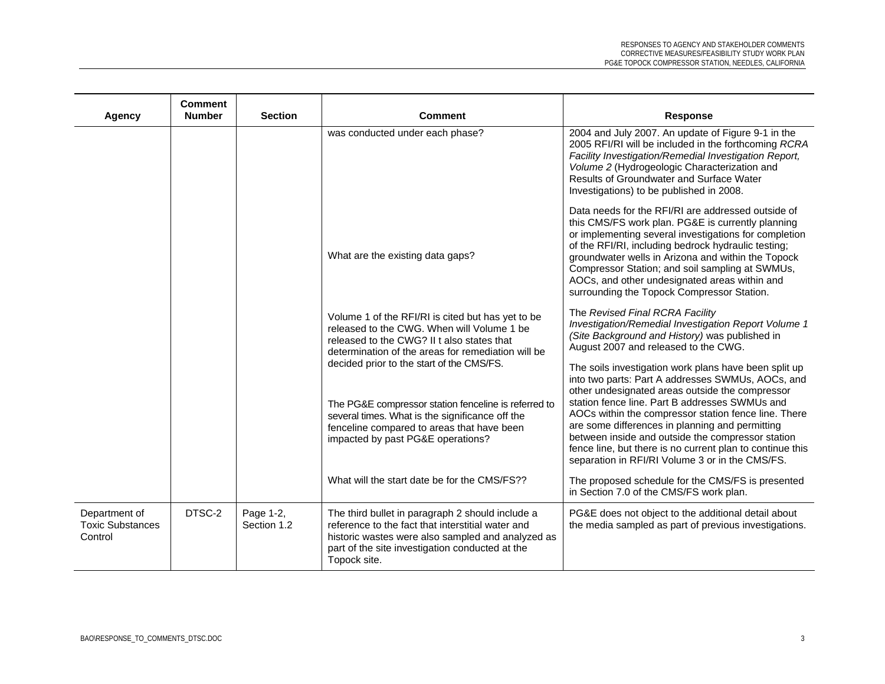| <b>Agency</b>                                       | <b>Comment</b><br><b>Number</b> | <b>Section</b>           | <b>Comment</b>                                                                                                                                                                                                                          | <b>Response</b>                                                                                                                                                                                                                                                                                                                                                                                                                                                                                 |
|-----------------------------------------------------|---------------------------------|--------------------------|-----------------------------------------------------------------------------------------------------------------------------------------------------------------------------------------------------------------------------------------|-------------------------------------------------------------------------------------------------------------------------------------------------------------------------------------------------------------------------------------------------------------------------------------------------------------------------------------------------------------------------------------------------------------------------------------------------------------------------------------------------|
|                                                     |                                 |                          | was conducted under each phase?                                                                                                                                                                                                         | 2004 and July 2007. An update of Figure 9-1 in the<br>2005 RFI/RI will be included in the forthcoming RCRA<br>Facility Investigation/Remedial Investigation Report,<br>Volume 2 (Hydrogeologic Characterization and<br>Results of Groundwater and Surface Water<br>Investigations) to be published in 2008.                                                                                                                                                                                     |
|                                                     |                                 |                          | What are the existing data gaps?                                                                                                                                                                                                        | Data needs for the RFI/RI are addressed outside of<br>this CMS/FS work plan. PG&E is currently planning<br>or implementing several investigations for completion<br>of the RFI/RI, including bedrock hydraulic testing;<br>groundwater wells in Arizona and within the Topock<br>Compressor Station; and soil sampling at SWMUs,<br>AOCs, and other undesignated areas within and<br>surrounding the Topock Compressor Station.                                                                 |
|                                                     |                                 |                          | Volume 1 of the RFI/RI is cited but has yet to be<br>released to the CWG. When will Volume 1 be<br>released to the CWG? II t also states that<br>determination of the areas for remediation will be                                     | The Revised Final RCRA Facility<br>Investigation/Remedial Investigation Report Volume 1<br>(Site Background and History) was published in<br>August 2007 and released to the CWG.                                                                                                                                                                                                                                                                                                               |
|                                                     |                                 |                          | decided prior to the start of the CMS/FS.<br>The PG&E compressor station fenceline is referred to<br>several times. What is the significance off the<br>fenceline compared to areas that have been<br>impacted by past PG&E operations? | The soils investigation work plans have been split up<br>into two parts: Part A addresses SWMUs, AOCs, and<br>other undesignated areas outside the compressor<br>station fence line. Part B addresses SWMUs and<br>AOCs within the compressor station fence line. There<br>are some differences in planning and permitting<br>between inside and outside the compressor station<br>fence line, but there is no current plan to continue this<br>separation in RFI/RI Volume 3 or in the CMS/FS. |
|                                                     |                                 |                          | What will the start date be for the CMS/FS??                                                                                                                                                                                            | The proposed schedule for the CMS/FS is presented<br>in Section 7.0 of the CMS/FS work plan.                                                                                                                                                                                                                                                                                                                                                                                                    |
| Department of<br><b>Toxic Substances</b><br>Control | DTSC-2                          | Page 1-2,<br>Section 1.2 | The third bullet in paragraph 2 should include a<br>reference to the fact that interstitial water and<br>historic wastes were also sampled and analyzed as<br>part of the site investigation conducted at the<br>Topock site.           | PG&E does not object to the additional detail about<br>the media sampled as part of previous investigations.                                                                                                                                                                                                                                                                                                                                                                                    |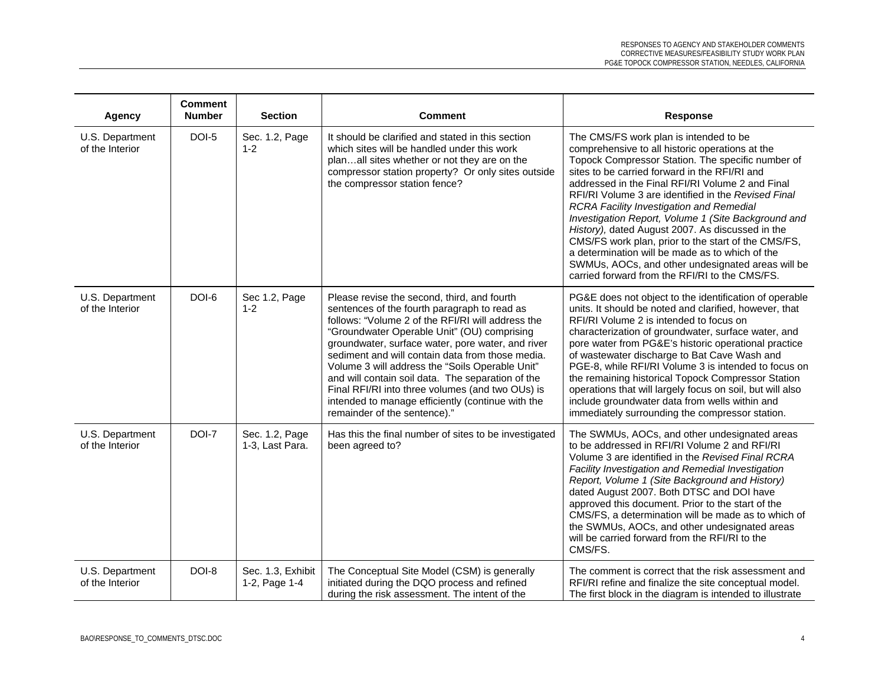| <b>Agency</b>                      | <b>Comment</b><br><b>Number</b> | <b>Section</b>                     | <b>Comment</b>                                                                                                                                                                                                                                                                                                                                                                                                                                                                                                                                            | <b>Response</b>                                                                                                                                                                                                                                                                                                                                                                                                                                                                                                                                                                                                                                                                           |
|------------------------------------|---------------------------------|------------------------------------|-----------------------------------------------------------------------------------------------------------------------------------------------------------------------------------------------------------------------------------------------------------------------------------------------------------------------------------------------------------------------------------------------------------------------------------------------------------------------------------------------------------------------------------------------------------|-------------------------------------------------------------------------------------------------------------------------------------------------------------------------------------------------------------------------------------------------------------------------------------------------------------------------------------------------------------------------------------------------------------------------------------------------------------------------------------------------------------------------------------------------------------------------------------------------------------------------------------------------------------------------------------------|
| U.S. Department<br>of the Interior | DOI-5                           | Sec. 1.2, Page<br>$1 - 2$          | It should be clarified and stated in this section<br>which sites will be handled under this work<br>planall sites whether or not they are on the<br>compressor station property? Or only sites outside<br>the compressor station fence?                                                                                                                                                                                                                                                                                                                   | The CMS/FS work plan is intended to be<br>comprehensive to all historic operations at the<br>Topock Compressor Station. The specific number of<br>sites to be carried forward in the RFI/RI and<br>addressed in the Final RFI/RI Volume 2 and Final<br>RFI/RI Volume 3 are identified in the Revised Final<br><b>RCRA Facility Investigation and Remedial</b><br>Investigation Report, Volume 1 (Site Background and<br>History), dated August 2007. As discussed in the<br>CMS/FS work plan, prior to the start of the CMS/FS,<br>a determination will be made as to which of the<br>SWMUs, AOCs, and other undesignated areas will be<br>carried forward from the RFI/RI to the CMS/FS. |
| U.S. Department<br>of the Interior | DOI-6                           | Sec 1.2, Page<br>$1 - 2$           | Please revise the second, third, and fourth<br>sentences of the fourth paragraph to read as<br>follows: "Volume 2 of the RFI/RI will address the<br>"Groundwater Operable Unit" (OU) comprising<br>groundwater, surface water, pore water, and river<br>sediment and will contain data from those media.<br>Volume 3 will address the "Soils Operable Unit"<br>and will contain soil data. The separation of the<br>Final RFI/RI into three volumes (and two OUs) is<br>intended to manage efficiently (continue with the<br>remainder of the sentence)." | PG&E does not object to the identification of operable<br>units. It should be noted and clarified, however, that<br>RFI/RI Volume 2 is intended to focus on<br>characterization of groundwater, surface water, and<br>pore water from PG&E's historic operational practice<br>of wastewater discharge to Bat Cave Wash and<br>PGE-8, while RFI/RI Volume 3 is intended to focus on<br>the remaining historical Topock Compressor Station<br>operations that will largely focus on soil, but will also<br>include groundwater data from wells within and<br>immediately surrounding the compressor station.                                                                                |
| U.S. Department<br>of the Interior | DOI-7                           | Sec. 1.2, Page<br>1-3, Last Para.  | Has this the final number of sites to be investigated<br>been agreed to?                                                                                                                                                                                                                                                                                                                                                                                                                                                                                  | The SWMUs, AOCs, and other undesignated areas<br>to be addressed in RFI/RI Volume 2 and RFI/RI<br>Volume 3 are identified in the Revised Final RCRA<br>Facility Investigation and Remedial Investigation<br>Report, Volume 1 (Site Background and History)<br>dated August 2007. Both DTSC and DOI have<br>approved this document. Prior to the start of the<br>CMS/FS, a determination will be made as to which of<br>the SWMUs, AOCs, and other undesignated areas<br>will be carried forward from the RFI/RI to the<br>CMS/FS.                                                                                                                                                         |
| U.S. Department<br>of the Interior | DOI-8                           | Sec. 1.3, Exhibit<br>1-2, Page 1-4 | The Conceptual Site Model (CSM) is generally<br>initiated during the DQO process and refined<br>during the risk assessment. The intent of the                                                                                                                                                                                                                                                                                                                                                                                                             | The comment is correct that the risk assessment and<br>RFI/RI refine and finalize the site conceptual model.<br>The first block in the diagram is intended to illustrate                                                                                                                                                                                                                                                                                                                                                                                                                                                                                                                  |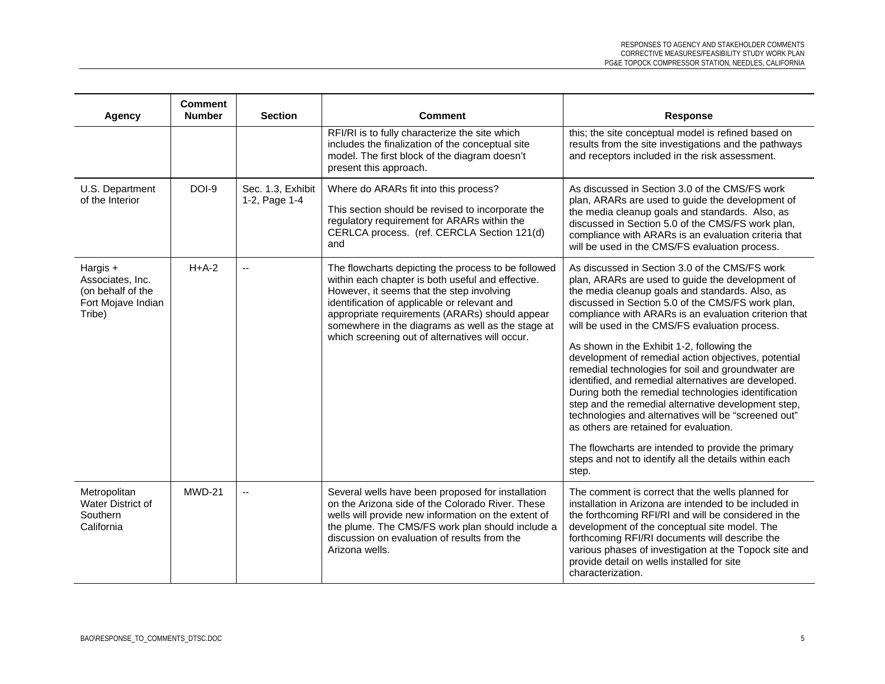| <b>Agency</b>                                                                       | <b>Comment</b><br><b>Number</b> | <b>Section</b>                     | <b>Comment</b>                                                                                                                                                                                                                                                                                                                                                  | <b>Response</b>                                                                                                                                                                                                                                                                                                                                                                                                                                                                                                                                                                                                                                                                                                                                                                                                                                                                    |
|-------------------------------------------------------------------------------------|---------------------------------|------------------------------------|-----------------------------------------------------------------------------------------------------------------------------------------------------------------------------------------------------------------------------------------------------------------------------------------------------------------------------------------------------------------|------------------------------------------------------------------------------------------------------------------------------------------------------------------------------------------------------------------------------------------------------------------------------------------------------------------------------------------------------------------------------------------------------------------------------------------------------------------------------------------------------------------------------------------------------------------------------------------------------------------------------------------------------------------------------------------------------------------------------------------------------------------------------------------------------------------------------------------------------------------------------------|
|                                                                                     |                                 |                                    | RFI/RI is to fully characterize the site which<br>includes the finalization of the conceptual site<br>model. The first block of the diagram doesn't<br>present this approach.                                                                                                                                                                                   | this; the site conceptual model is refined based on<br>results from the site investigations and the pathways<br>and receptors included in the risk assessment.                                                                                                                                                                                                                                                                                                                                                                                                                                                                                                                                                                                                                                                                                                                     |
| U.S. Department<br>of the Interior                                                  | <b>DOI-9</b>                    | Sec. 1.3, Exhibit<br>1-2, Page 1-4 | Where do ARARs fit into this process?<br>This section should be revised to incorporate the<br>regulatory requirement for ARARs within the<br>CERLCA process. (ref. CERCLA Section 121(d)<br>and                                                                                                                                                                 | As discussed in Section 3.0 of the CMS/FS work<br>plan, ARARs are used to guide the development of<br>the media cleanup goals and standards. Also, as<br>discussed in Section 5.0 of the CMS/FS work plan,<br>compliance with ARARs is an evaluation criteria that<br>will be used in the CMS/FS evaluation process.                                                                                                                                                                                                                                                                                                                                                                                                                                                                                                                                                               |
| Hargis $+$<br>Associates, Inc.<br>(on behalf of the<br>Fort Mojave Indian<br>Tribe) | $H+A-2$                         | $\mathbf{u}$                       | The flowcharts depicting the process to be followed<br>within each chapter is both useful and effective.<br>However, it seems that the step involving<br>identification of applicable or relevant and<br>appropriate requirements (ARARs) should appear<br>somewhere in the diagrams as well as the stage at<br>which screening out of alternatives will occur. | As discussed in Section 3.0 of the CMS/FS work<br>plan, ARARs are used to guide the development of<br>the media cleanup goals and standards. Also, as<br>discussed in Section 5.0 of the CMS/FS work plan,<br>compliance with ARARs is an evaluation criterion that<br>will be used in the CMS/FS evaluation process.<br>As shown in the Exhibit 1-2, following the<br>development of remedial action objectives, potential<br>remedial technologies for soil and groundwater are<br>identified, and remedial alternatives are developed.<br>During both the remedial technologies identification<br>step and the remedial alternative development step,<br>technologies and alternatives will be "screened out"<br>as others are retained for evaluation.<br>The flowcharts are intended to provide the primary<br>steps and not to identify all the details within each<br>step. |
| Metropolitan<br>Water District of<br>Southern<br>California                         | <b>MWD-21</b>                   | $\overline{a}$                     | Several wells have been proposed for installation<br>on the Arizona side of the Colorado River. These<br>wells will provide new information on the extent of<br>the plume. The CMS/FS work plan should include a<br>discussion on evaluation of results from the<br>Arizona wells.                                                                              | The comment is correct that the wells planned for<br>installation in Arizona are intended to be included in<br>the forthcoming RFI/RI and will be considered in the<br>development of the conceptual site model. The<br>forthcoming RFI/RI documents will describe the<br>various phases of investigation at the Topock site and<br>provide detail on wells installed for site<br>characterization.                                                                                                                                                                                                                                                                                                                                                                                                                                                                                |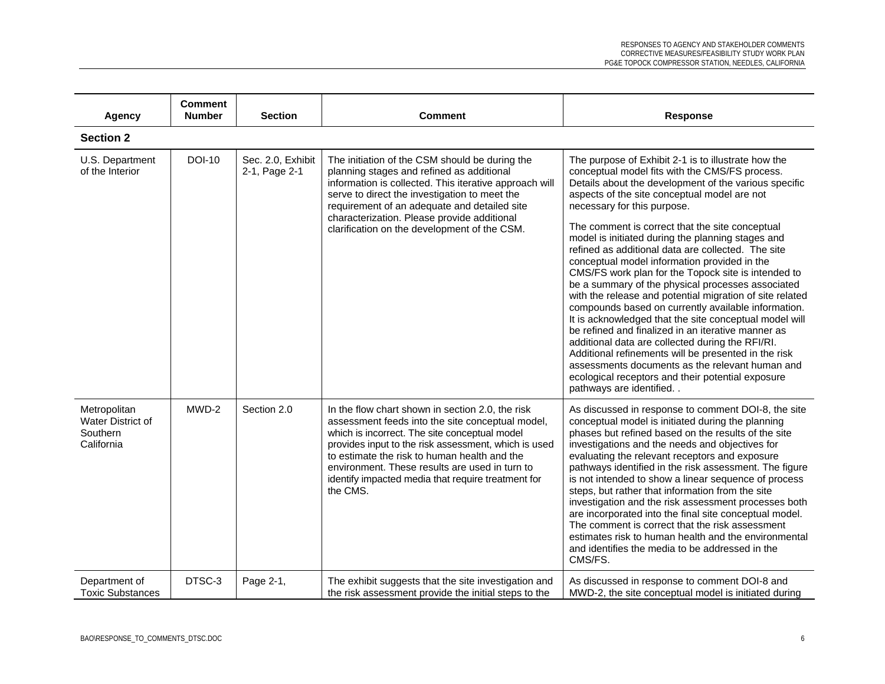| <b>Agency</b>                                               | <b>Comment</b><br><b>Number</b> | <b>Section</b>                     | <b>Comment</b>                                                                                                                                                                                                                                                                                                                                                                    | <b>Response</b>                                                                                                                                                                                                                                                                                                                                                                                                                                                                                                                                                                                                                                                                                                                                                                                                                                                                                                                                                                                                                                           |
|-------------------------------------------------------------|---------------------------------|------------------------------------|-----------------------------------------------------------------------------------------------------------------------------------------------------------------------------------------------------------------------------------------------------------------------------------------------------------------------------------------------------------------------------------|-----------------------------------------------------------------------------------------------------------------------------------------------------------------------------------------------------------------------------------------------------------------------------------------------------------------------------------------------------------------------------------------------------------------------------------------------------------------------------------------------------------------------------------------------------------------------------------------------------------------------------------------------------------------------------------------------------------------------------------------------------------------------------------------------------------------------------------------------------------------------------------------------------------------------------------------------------------------------------------------------------------------------------------------------------------|
| <b>Section 2</b>                                            |                                 |                                    |                                                                                                                                                                                                                                                                                                                                                                                   |                                                                                                                                                                                                                                                                                                                                                                                                                                                                                                                                                                                                                                                                                                                                                                                                                                                                                                                                                                                                                                                           |
| U.S. Department<br>of the Interior                          | <b>DOI-10</b>                   | Sec. 2.0, Exhibit<br>2-1, Page 2-1 | The initiation of the CSM should be during the<br>planning stages and refined as additional<br>information is collected. This iterative approach will<br>serve to direct the investigation to meet the<br>requirement of an adequate and detailed site<br>characterization. Please provide additional<br>clarification on the development of the CSM.                             | The purpose of Exhibit 2-1 is to illustrate how the<br>conceptual model fits with the CMS/FS process.<br>Details about the development of the various specific<br>aspects of the site conceptual model are not<br>necessary for this purpose.<br>The comment is correct that the site conceptual<br>model is initiated during the planning stages and<br>refined as additional data are collected. The site<br>conceptual model information provided in the<br>CMS/FS work plan for the Topock site is intended to<br>be a summary of the physical processes associated<br>with the release and potential migration of site related<br>compounds based on currently available information.<br>It is acknowledged that the site conceptual model will<br>be refined and finalized in an iterative manner as<br>additional data are collected during the RFI/RI.<br>Additional refinements will be presented in the risk<br>assessments documents as the relevant human and<br>ecological receptors and their potential exposure<br>pathways are identified |
| Metropolitan<br>Water District of<br>Southern<br>California | MWD-2                           | Section 2.0                        | In the flow chart shown in section 2.0, the risk<br>assessment feeds into the site conceptual model,<br>which is incorrect. The site conceptual model<br>provides input to the risk assessment, which is used<br>to estimate the risk to human health and the<br>environment. These results are used in turn to<br>identify impacted media that require treatment for<br>the CMS. | As discussed in response to comment DOI-8, the site<br>conceptual model is initiated during the planning<br>phases but refined based on the results of the site<br>investigations and the needs and objectives for<br>evaluating the relevant receptors and exposure<br>pathways identified in the risk assessment. The figure<br>is not intended to show a linear sequence of process<br>steps, but rather that information from the site<br>investigation and the risk assessment processes both<br>are incorporated into the final site conceptual model.<br>The comment is correct that the risk assessment<br>estimates risk to human health and the environmental<br>and identifies the media to be addressed in the<br>CMS/FS.                                                                                                                                                                                                                                                                                                                     |
| Department of<br><b>Toxic Substances</b>                    | DTSC-3                          | Page 2-1,                          | The exhibit suggests that the site investigation and<br>the risk assessment provide the initial steps to the                                                                                                                                                                                                                                                                      | As discussed in response to comment DOI-8 and<br>MWD-2, the site conceptual model is initiated during                                                                                                                                                                                                                                                                                                                                                                                                                                                                                                                                                                                                                                                                                                                                                                                                                                                                                                                                                     |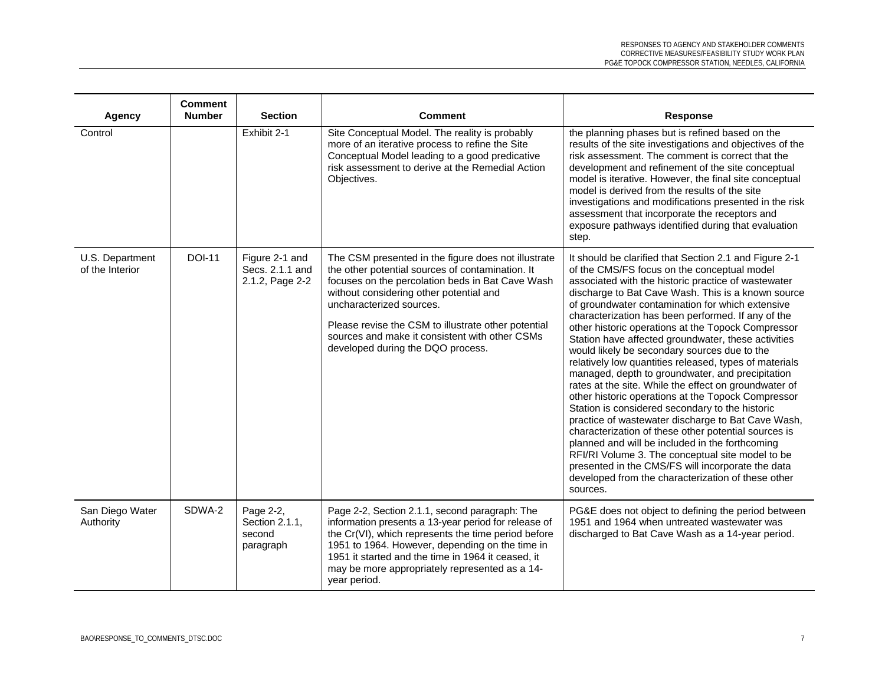| Agency                             | <b>Comment</b><br><b>Number</b> | <b>Section</b>                                       | <b>Comment</b>                                                                                                                                                                                                                                                                                                                                                                   | Response                                                                                                                                                                                                                                                                                                                                                                                                                                                                                                                                                                                                                                                                                                                                                                                                                                                                                                                                                                                                                                                                                                              |
|------------------------------------|---------------------------------|------------------------------------------------------|----------------------------------------------------------------------------------------------------------------------------------------------------------------------------------------------------------------------------------------------------------------------------------------------------------------------------------------------------------------------------------|-----------------------------------------------------------------------------------------------------------------------------------------------------------------------------------------------------------------------------------------------------------------------------------------------------------------------------------------------------------------------------------------------------------------------------------------------------------------------------------------------------------------------------------------------------------------------------------------------------------------------------------------------------------------------------------------------------------------------------------------------------------------------------------------------------------------------------------------------------------------------------------------------------------------------------------------------------------------------------------------------------------------------------------------------------------------------------------------------------------------------|
| Control                            |                                 | Exhibit 2-1                                          | Site Conceptual Model. The reality is probably<br>more of an iterative process to refine the Site<br>Conceptual Model leading to a good predicative<br>risk assessment to derive at the Remedial Action<br>Objectives.                                                                                                                                                           | the planning phases but is refined based on the<br>results of the site investigations and objectives of the<br>risk assessment. The comment is correct that the<br>development and refinement of the site conceptual<br>model is iterative. However, the final site conceptual<br>model is derived from the results of the site<br>investigations and modifications presented in the risk<br>assessment that incorporate the receptors and<br>exposure pathways identified during that evaluation<br>step.                                                                                                                                                                                                                                                                                                                                                                                                                                                                                                                                                                                                            |
| U.S. Department<br>of the Interior | <b>DOI-11</b>                   | Figure 2-1 and<br>Secs. 2.1.1 and<br>2.1.2, Page 2-2 | The CSM presented in the figure does not illustrate<br>the other potential sources of contamination. It<br>focuses on the percolation beds in Bat Cave Wash<br>without considering other potential and<br>uncharacterized sources.<br>Please revise the CSM to illustrate other potential<br>sources and make it consistent with other CSMs<br>developed during the DQO process. | It should be clarified that Section 2.1 and Figure 2-1<br>of the CMS/FS focus on the conceptual model<br>associated with the historic practice of wastewater<br>discharge to Bat Cave Wash. This is a known source<br>of groundwater contamination for which extensive<br>characterization has been performed. If any of the<br>other historic operations at the Topock Compressor<br>Station have affected groundwater, these activities<br>would likely be secondary sources due to the<br>relatively low quantities released, types of materials<br>managed, depth to groundwater, and precipitation<br>rates at the site. While the effect on groundwater of<br>other historic operations at the Topock Compressor<br>Station is considered secondary to the historic<br>practice of wastewater discharge to Bat Cave Wash,<br>characterization of these other potential sources is<br>planned and will be included in the forthcoming<br>RFI/RI Volume 3. The conceptual site model to be<br>presented in the CMS/FS will incorporate the data<br>developed from the characterization of these other<br>sources. |
| San Diego Water<br>Authority       | SDWA-2                          | Page 2-2,<br>Section 2.1.1,<br>second<br>paragraph   | Page 2-2, Section 2.1.1, second paragraph: The<br>information presents a 13-year period for release of<br>the Cr(VI), which represents the time period before<br>1951 to 1964. However, depending on the time in<br>1951 it started and the time in 1964 it ceased, it<br>may be more appropriately represented as a 14-<br>year period.                                         | PG&E does not object to defining the period between<br>1951 and 1964 when untreated wastewater was<br>discharged to Bat Cave Wash as a 14-year period.                                                                                                                                                                                                                                                                                                                                                                                                                                                                                                                                                                                                                                                                                                                                                                                                                                                                                                                                                                |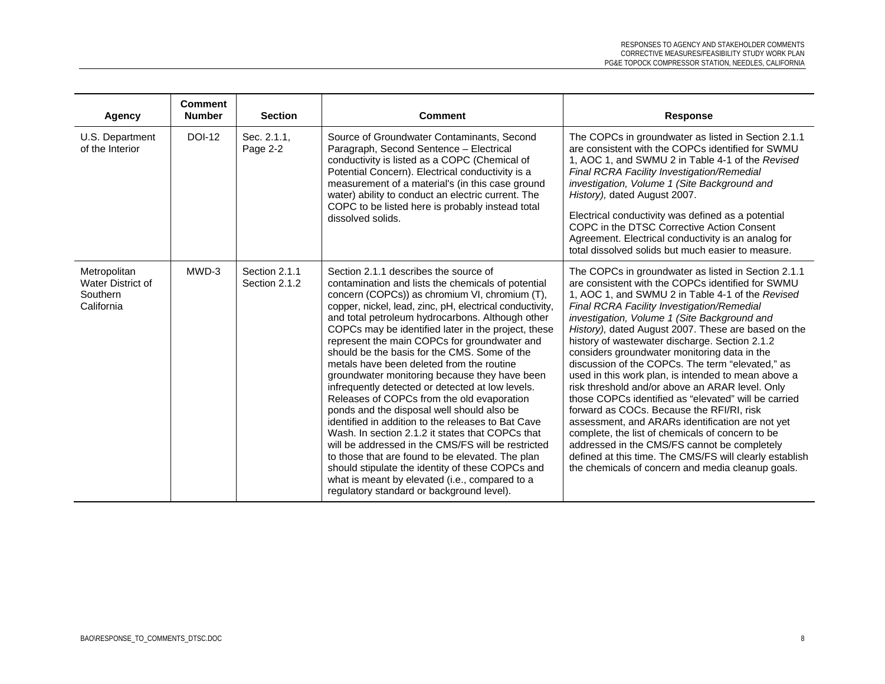| Agency                                                             | <b>Comment</b><br><b>Number</b> | <b>Section</b>                 | <b>Comment</b>                                                                                                                                                                                                                                                                                                                                                                                                                                                                                                                                                                                                                                                                                                                                                                                                                                                                                                                                                                                                                            | <b>Response</b>                                                                                                                                                                                                                                                                                                                                                                                                                                                                                                                                                                                                                                                                                                                                                                                                                                                                                                                                                |
|--------------------------------------------------------------------|---------------------------------|--------------------------------|-------------------------------------------------------------------------------------------------------------------------------------------------------------------------------------------------------------------------------------------------------------------------------------------------------------------------------------------------------------------------------------------------------------------------------------------------------------------------------------------------------------------------------------------------------------------------------------------------------------------------------------------------------------------------------------------------------------------------------------------------------------------------------------------------------------------------------------------------------------------------------------------------------------------------------------------------------------------------------------------------------------------------------------------|----------------------------------------------------------------------------------------------------------------------------------------------------------------------------------------------------------------------------------------------------------------------------------------------------------------------------------------------------------------------------------------------------------------------------------------------------------------------------------------------------------------------------------------------------------------------------------------------------------------------------------------------------------------------------------------------------------------------------------------------------------------------------------------------------------------------------------------------------------------------------------------------------------------------------------------------------------------|
| U.S. Department<br>of the Interior                                 | <b>DOI-12</b>                   | Sec. 2.1.1,<br>Page 2-2        | Source of Groundwater Contaminants, Second<br>Paragraph, Second Sentence - Electrical<br>conductivity is listed as a COPC (Chemical of<br>Potential Concern). Electrical conductivity is a<br>measurement of a material's (in this case ground<br>water) ability to conduct an electric current. The<br>COPC to be listed here is probably instead total<br>dissolved solids.                                                                                                                                                                                                                                                                                                                                                                                                                                                                                                                                                                                                                                                             | The COPCs in groundwater as listed in Section 2.1.1<br>are consistent with the COPCs identified for SWMU<br>1, AOC 1, and SWMU 2 in Table 4-1 of the Revised<br><b>Final RCRA Facility Investigation/Remedial</b><br>investigation, Volume 1 (Site Background and<br>History), dated August 2007.<br>Electrical conductivity was defined as a potential<br>COPC in the DTSC Corrective Action Consent<br>Agreement. Electrical conductivity is an analog for<br>total dissolved solids but much easier to measure.                                                                                                                                                                                                                                                                                                                                                                                                                                             |
| Metropolitan<br><b>Water District of</b><br>Southern<br>California | MWD-3                           | Section 2.1.1<br>Section 2.1.2 | Section 2.1.1 describes the source of<br>contamination and lists the chemicals of potential<br>concern (COPCs)) as chromium VI, chromium (T),<br>copper, nickel, lead, zinc, pH, electrical conductivity,<br>and total petroleum hydrocarbons. Although other<br>COPCs may be identified later in the project, these<br>represent the main COPCs for groundwater and<br>should be the basis for the CMS. Some of the<br>metals have been deleted from the routine<br>groundwater monitoring because they have been<br>infrequently detected or detected at low levels.<br>Releases of COPCs from the old evaporation<br>ponds and the disposal well should also be<br>identified in addition to the releases to Bat Cave<br>Wash. In section 2.1.2 it states that COPCs that<br>will be addressed in the CMS/FS will be restricted<br>to those that are found to be elevated. The plan<br>should stipulate the identity of these COPCs and<br>what is meant by elevated (i.e., compared to a<br>regulatory standard or background level). | The COPCs in groundwater as listed in Section 2.1.1<br>are consistent with the COPCs identified for SWMU<br>1, AOC 1, and SWMU 2 in Table 4-1 of the Revised<br>Final RCRA Facility Investigation/Remedial<br>investigation, Volume 1 (Site Background and<br>History), dated August 2007. These are based on the<br>history of wastewater discharge. Section 2.1.2<br>considers groundwater monitoring data in the<br>discussion of the COPCs. The term "elevated." as<br>used in this work plan, is intended to mean above a<br>risk threshold and/or above an ARAR level. Only<br>those COPCs identified as "elevated" will be carried<br>forward as COCs. Because the RFI/RI, risk<br>assessment, and ARARs identification are not yet<br>complete, the list of chemicals of concern to be<br>addressed in the CMS/FS cannot be completely<br>defined at this time. The CMS/FS will clearly establish<br>the chemicals of concern and media cleanup goals. |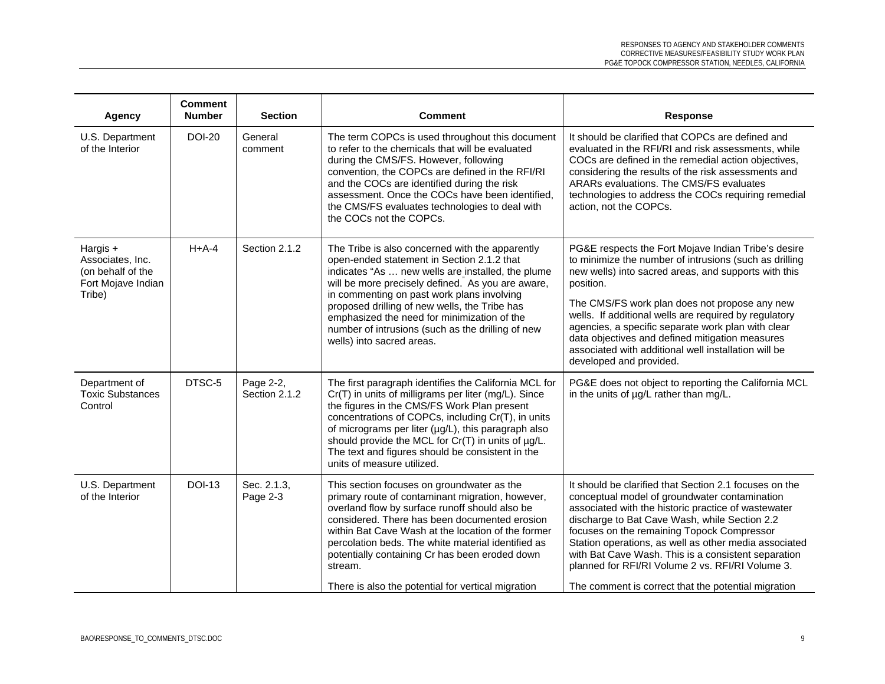| Agency                                                                            | <b>Comment</b><br><b>Number</b> | <b>Section</b>             | <b>Comment</b>                                                                                                                                                                                                                                                                                                                                                                                                                          | <b>Response</b>                                                                                                                                                                                                                                                                                                                                                                                                                                                                          |
|-----------------------------------------------------------------------------------|---------------------------------|----------------------------|-----------------------------------------------------------------------------------------------------------------------------------------------------------------------------------------------------------------------------------------------------------------------------------------------------------------------------------------------------------------------------------------------------------------------------------------|------------------------------------------------------------------------------------------------------------------------------------------------------------------------------------------------------------------------------------------------------------------------------------------------------------------------------------------------------------------------------------------------------------------------------------------------------------------------------------------|
| U.S. Department<br>of the Interior                                                | <b>DOI-20</b>                   | General<br>comment         | The term COPCs is used throughout this document<br>to refer to the chemicals that will be evaluated<br>during the CMS/FS. However, following<br>convention, the COPCs are defined in the RFI/RI<br>and the COCs are identified during the risk<br>assessment. Once the COCs have been identified,<br>the CMS/FS evaluates technologies to deal with<br>the COCs not the COPCs.                                                          | It should be clarified that COPCs are defined and<br>evaluated in the RFI/RI and risk assessments, while<br>COCs are defined in the remedial action objectives,<br>considering the results of the risk assessments and<br>ARARs evaluations. The CMS/FS evaluates<br>technologies to address the COCs requiring remedial<br>action, not the COPCs.                                                                                                                                       |
| Hargis +<br>Associates, Inc.<br>(on behalf of the<br>Fort Mojave Indian<br>Tribe) | $H+A-4$                         | Section 2.1.2              | The Tribe is also concerned with the apparently<br>open-ended statement in Section 2.1.2 that<br>indicates "As  new wells are installed, the plume<br>will be more precisely defined. As you are aware,<br>in commenting on past work plans involving<br>proposed drilling of new wells, the Tribe has<br>emphasized the need for minimization of the<br>number of intrusions (such as the drilling of new<br>wells) into sacred areas. | PG&E respects the Fort Mojave Indian Tribe's desire<br>to minimize the number of intrusions (such as drilling<br>new wells) into sacred areas, and supports with this<br>position.<br>The CMS/FS work plan does not propose any new<br>wells. If additional wells are required by regulatory<br>agencies, a specific separate work plan with clear<br>data objectives and defined mitigation measures<br>associated with additional well installation will be<br>developed and provided. |
| Department of<br><b>Toxic Substances</b><br>Control                               | DTSC-5                          | Page 2-2,<br>Section 2.1.2 | The first paragraph identifies the California MCL for<br>Cr(T) in units of milligrams per liter (mg/L). Since<br>the figures in the CMS/FS Work Plan present<br>concentrations of COPCs, including Cr(T), in units<br>of micrograms per liter (µg/L), this paragraph also<br>should provide the MCL for Cr(T) in units of µg/L.<br>The text and figures should be consistent in the<br>units of measure utilized.                       | PG&E does not object to reporting the California MCL<br>in the units of µg/L rather than mg/L.                                                                                                                                                                                                                                                                                                                                                                                           |
| U.S. Department<br>of the Interior                                                | <b>DOI-13</b>                   | Sec. 2.1.3,<br>Page 2-3    | This section focuses on groundwater as the<br>primary route of contaminant migration, however,<br>overland flow by surface runoff should also be<br>considered. There has been documented erosion<br>within Bat Cave Wash at the location of the former<br>percolation beds. The white material identified as<br>potentially containing Cr has been eroded down<br>stream.<br>There is also the potential for vertical migration        | It should be clarified that Section 2.1 focuses on the<br>conceptual model of groundwater contamination<br>associated with the historic practice of wastewater<br>discharge to Bat Cave Wash, while Section 2.2<br>focuses on the remaining Topock Compressor<br>Station operations, as well as other media associated<br>with Bat Cave Wash. This is a consistent separation<br>planned for RFI/RI Volume 2 vs. RFI/RI Volume 3.<br>The comment is correct that the potential migration |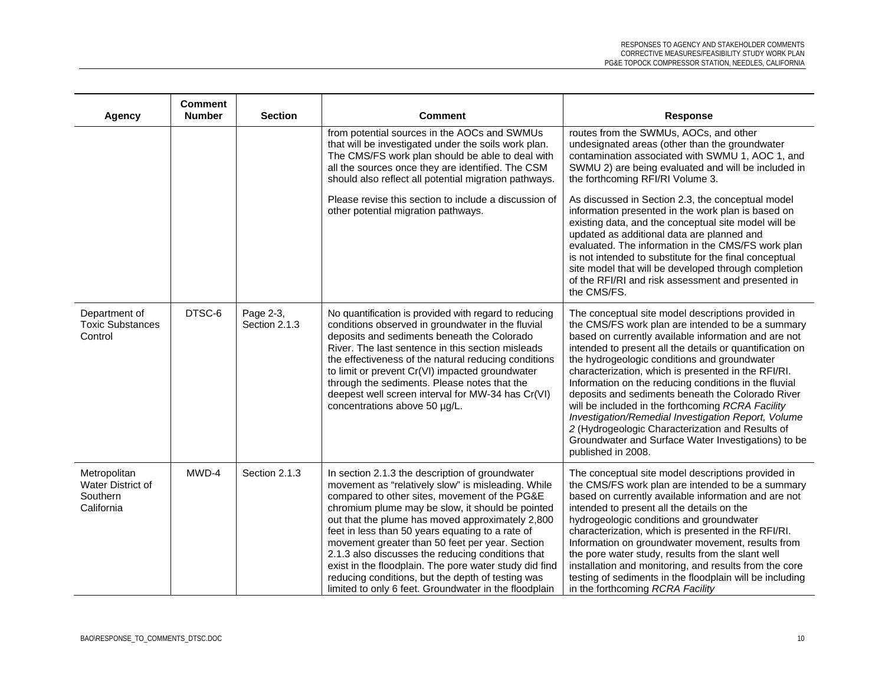| <b>Agency</b>                                               | <b>Comment</b><br><b>Number</b> | <b>Section</b>             | <b>Comment</b>                                                                                                                                                                                                                                                                                                                                                                                                                                                                                                                                                                                     | <b>Response</b>                                                                                                                                                                                                                                                                                                                                                                                                                                                                                                                                                                                                                                                                               |
|-------------------------------------------------------------|---------------------------------|----------------------------|----------------------------------------------------------------------------------------------------------------------------------------------------------------------------------------------------------------------------------------------------------------------------------------------------------------------------------------------------------------------------------------------------------------------------------------------------------------------------------------------------------------------------------------------------------------------------------------------------|-----------------------------------------------------------------------------------------------------------------------------------------------------------------------------------------------------------------------------------------------------------------------------------------------------------------------------------------------------------------------------------------------------------------------------------------------------------------------------------------------------------------------------------------------------------------------------------------------------------------------------------------------------------------------------------------------|
|                                                             |                                 |                            | from potential sources in the AOCs and SWMUs<br>that will be investigated under the soils work plan.<br>The CMS/FS work plan should be able to deal with<br>all the sources once they are identified. The CSM<br>should also reflect all potential migration pathways.                                                                                                                                                                                                                                                                                                                             | routes from the SWMUs, AOCs, and other<br>undesignated areas (other than the groundwater<br>contamination associated with SWMU 1, AOC 1, and<br>SWMU 2) are being evaluated and will be included in<br>the forthcoming RFI/RI Volume 3.                                                                                                                                                                                                                                                                                                                                                                                                                                                       |
|                                                             |                                 |                            | Please revise this section to include a discussion of<br>other potential migration pathways.                                                                                                                                                                                                                                                                                                                                                                                                                                                                                                       | As discussed in Section 2.3, the conceptual model<br>information presented in the work plan is based on<br>existing data, and the conceptual site model will be<br>updated as additional data are planned and<br>evaluated. The information in the CMS/FS work plan<br>is not intended to substitute for the final conceptual<br>site model that will be developed through completion<br>of the RFI/RI and risk assessment and presented in<br>the CMS/FS.                                                                                                                                                                                                                                    |
| Department of<br><b>Toxic Substances</b><br>Control         | DTSC-6                          | Page 2-3,<br>Section 2.1.3 | No quantification is provided with regard to reducing<br>conditions observed in groundwater in the fluvial<br>deposits and sediments beneath the Colorado<br>River. The last sentence in this section misleads<br>the effectiveness of the natural reducing conditions<br>to limit or prevent Cr(VI) impacted groundwater<br>through the sediments. Please notes that the<br>deepest well screen interval for MW-34 has Cr(VI)<br>concentrations above 50 µg/L.                                                                                                                                    | The conceptual site model descriptions provided in<br>the CMS/FS work plan are intended to be a summary<br>based on currently available information and are not<br>intended to present all the details or quantification on<br>the hydrogeologic conditions and groundwater<br>characterization, which is presented in the RFI/RI.<br>Information on the reducing conditions in the fluvial<br>deposits and sediments beneath the Colorado River<br>will be included in the forthcoming RCRA Facility<br>Investigation/Remedial Investigation Report, Volume<br>2 (Hydrogeologic Characterization and Results of<br>Groundwater and Surface Water Investigations) to be<br>published in 2008. |
| Metropolitan<br>Water District of<br>Southern<br>California | MWD-4                           | Section 2.1.3              | In section 2.1.3 the description of groundwater<br>movement as "relatively slow" is misleading. While<br>compared to other sites, movement of the PG&E<br>chromium plume may be slow, it should be pointed<br>out that the plume has moved approximately 2,800<br>feet in less than 50 years equating to a rate of<br>movement greater than 50 feet per year. Section<br>2.1.3 also discusses the reducing conditions that<br>exist in the floodplain. The pore water study did find<br>reducing conditions, but the depth of testing was<br>limited to only 6 feet. Groundwater in the floodplain | The conceptual site model descriptions provided in<br>the CMS/FS work plan are intended to be a summary<br>based on currently available information and are not<br>intended to present all the details on the<br>hydrogeologic conditions and groundwater<br>characterization, which is presented in the RFI/RI.<br>Information on groundwater movement, results from<br>the pore water study, results from the slant well<br>installation and monitoring, and results from the core<br>testing of sediments in the floodplain will be including<br>in the forthcoming RCRA Facility                                                                                                          |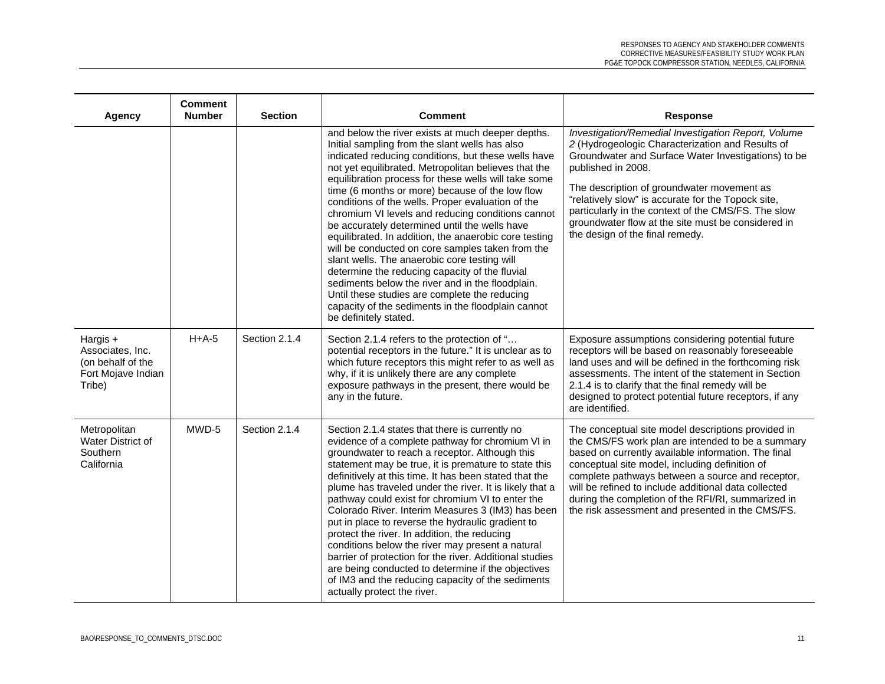| Agency                                                                              | <b>Comment</b><br><b>Number</b> | <b>Section</b> | <b>Comment</b>                                                                                                                                                                                                                                                                                                                                                                                                                                                                                                                                                                                                                                                                                                                                                                                                                                                                              | <b>Response</b>                                                                                                                                                                                                                                                                                                                                                                                                                          |
|-------------------------------------------------------------------------------------|---------------------------------|----------------|---------------------------------------------------------------------------------------------------------------------------------------------------------------------------------------------------------------------------------------------------------------------------------------------------------------------------------------------------------------------------------------------------------------------------------------------------------------------------------------------------------------------------------------------------------------------------------------------------------------------------------------------------------------------------------------------------------------------------------------------------------------------------------------------------------------------------------------------------------------------------------------------|------------------------------------------------------------------------------------------------------------------------------------------------------------------------------------------------------------------------------------------------------------------------------------------------------------------------------------------------------------------------------------------------------------------------------------------|
|                                                                                     |                                 |                | and below the river exists at much deeper depths.<br>Initial sampling from the slant wells has also<br>indicated reducing conditions, but these wells have<br>not yet equilibrated. Metropolitan believes that the<br>equilibration process for these wells will take some<br>time (6 months or more) because of the low flow<br>conditions of the wells. Proper evaluation of the<br>chromium VI levels and reducing conditions cannot<br>be accurately determined until the wells have<br>equilibrated. In addition, the anaerobic core testing<br>will be conducted on core samples taken from the<br>slant wells. The anaerobic core testing will<br>determine the reducing capacity of the fluvial<br>sediments below the river and in the floodplain.<br>Until these studies are complete the reducing<br>capacity of the sediments in the floodplain cannot<br>be definitely stated. | Investigation/Remedial Investigation Report, Volume<br>2 (Hydrogeologic Characterization and Results of<br>Groundwater and Surface Water Investigations) to be<br>published in 2008.<br>The description of groundwater movement as<br>"relatively slow" is accurate for the Topock site,<br>particularly in the context of the CMS/FS. The slow<br>groundwater flow at the site must be considered in<br>the design of the final remedy. |
| Hargis $+$<br>Associates, Inc.<br>(on behalf of the<br>Fort Mojave Indian<br>Tribe) | $H+A-5$                         | Section 2.1.4  | Section 2.1.4 refers to the protection of "<br>potential receptors in the future." It is unclear as to<br>which future receptors this might refer to as well as<br>why, if it is unlikely there are any complete<br>exposure pathways in the present, there would be<br>any in the future.                                                                                                                                                                                                                                                                                                                                                                                                                                                                                                                                                                                                  | Exposure assumptions considering potential future<br>receptors will be based on reasonably foreseeable<br>land uses and will be defined in the forthcoming risk<br>assessments. The intent of the statement in Section<br>2.1.4 is to clarify that the final remedy will be<br>designed to protect potential future receptors, if any<br>are identified.                                                                                 |
| Metropolitan<br><b>Water District of</b><br>Southern<br>California                  | MWD-5                           | Section 2.1.4  | Section 2.1.4 states that there is currently no<br>evidence of a complete pathway for chromium VI in<br>groundwater to reach a receptor. Although this<br>statement may be true, it is premature to state this<br>definitively at this time. It has been stated that the<br>plume has traveled under the river. It is likely that a<br>pathway could exist for chromium VI to enter the<br>Colorado River. Interim Measures 3 (IM3) has been<br>put in place to reverse the hydraulic gradient to<br>protect the river. In addition, the reducing<br>conditions below the river may present a natural<br>barrier of protection for the river. Additional studies<br>are being conducted to determine if the objectives<br>of IM3 and the reducing capacity of the sediments<br>actually protect the river.                                                                                  | The conceptual site model descriptions provided in<br>the CMS/FS work plan are intended to be a summary<br>based on currently available information. The final<br>conceptual site model, including definition of<br>complete pathways between a source and receptor,<br>will be refined to include additional data collected<br>during the completion of the RFI/RI, summarized in<br>the risk assessment and presented in the CMS/FS.   |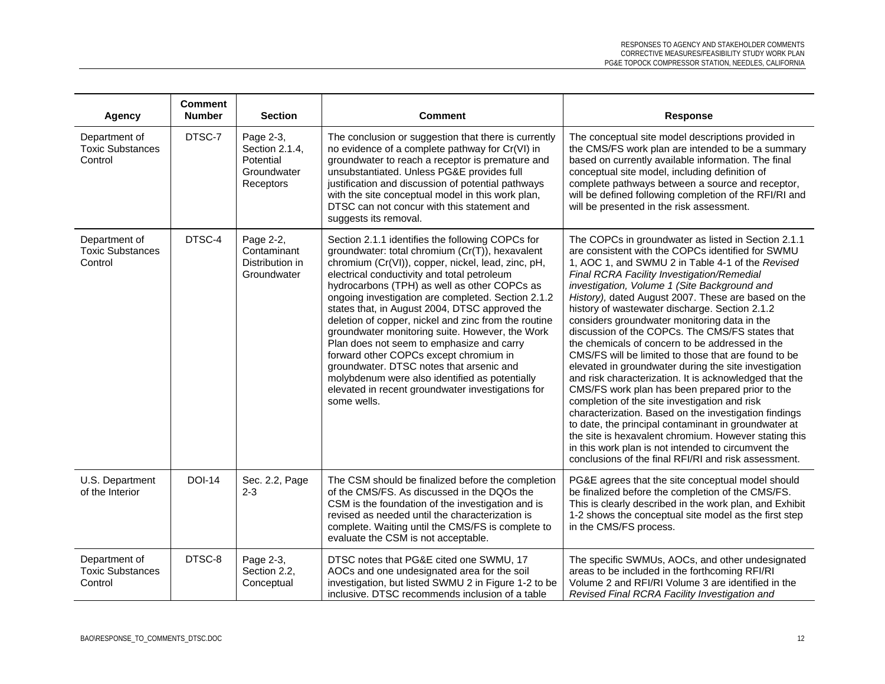| Agency                                              | <b>Comment</b><br><b>Number</b> | <b>Section</b>                                                       | <b>Comment</b>                                                                                                                                                                                                                                                                                                                                                                                                                                                                                                                                                                                                                                                                                                                       | <b>Response</b>                                                                                                                                                                                                                                                                                                                                                                                                                                                                                                                                                                                                                                                                                                                                                                                                                                                                                                                                                                                                                                                                                   |
|-----------------------------------------------------|---------------------------------|----------------------------------------------------------------------|--------------------------------------------------------------------------------------------------------------------------------------------------------------------------------------------------------------------------------------------------------------------------------------------------------------------------------------------------------------------------------------------------------------------------------------------------------------------------------------------------------------------------------------------------------------------------------------------------------------------------------------------------------------------------------------------------------------------------------------|---------------------------------------------------------------------------------------------------------------------------------------------------------------------------------------------------------------------------------------------------------------------------------------------------------------------------------------------------------------------------------------------------------------------------------------------------------------------------------------------------------------------------------------------------------------------------------------------------------------------------------------------------------------------------------------------------------------------------------------------------------------------------------------------------------------------------------------------------------------------------------------------------------------------------------------------------------------------------------------------------------------------------------------------------------------------------------------------------|
| Department of<br><b>Toxic Substances</b><br>Control | DTSC-7                          | Page 2-3,<br>Section 2.1.4,<br>Potential<br>Groundwater<br>Receptors | The conclusion or suggestion that there is currently<br>no evidence of a complete pathway for Cr(VI) in<br>groundwater to reach a receptor is premature and<br>unsubstantiated. Unless PG&E provides full<br>justification and discussion of potential pathways<br>with the site conceptual model in this work plan,<br>DTSC can not concur with this statement and<br>suggests its removal.                                                                                                                                                                                                                                                                                                                                         | The conceptual site model descriptions provided in<br>the CMS/FS work plan are intended to be a summary<br>based on currently available information. The final<br>conceptual site model, including definition of<br>complete pathways between a source and receptor,<br>will be defined following completion of the RFI/RI and<br>will be presented in the risk assessment.                                                                                                                                                                                                                                                                                                                                                                                                                                                                                                                                                                                                                                                                                                                       |
| Department of<br><b>Toxic Substances</b><br>Control | DTSC-4                          | Page 2-2,<br>Contaminant<br>Distribution in<br>Groundwater           | Section 2.1.1 identifies the following COPCs for<br>groundwater: total chromium (Cr(T)), hexavalent<br>chromium (Cr(VI)), copper, nickel, lead, zinc, pH,<br>electrical conductivity and total petroleum<br>hydrocarbons (TPH) as well as other COPCs as<br>ongoing investigation are completed. Section 2.1.2<br>states that, in August 2004, DTSC approved the<br>deletion of copper, nickel and zinc from the routine<br>groundwater monitoring suite. However, the Work<br>Plan does not seem to emphasize and carry<br>forward other COPCs except chromium in<br>groundwater. DTSC notes that arsenic and<br>molybdenum were also identified as potentially<br>elevated in recent groundwater investigations for<br>some wells. | The COPCs in groundwater as listed in Section 2.1.1<br>are consistent with the COPCs identified for SWMU<br>1, AOC 1, and SWMU 2 in Table 4-1 of the Revised<br>Final RCRA Facility Investigation/Remedial<br>investigation, Volume 1 (Site Background and<br>History), dated August 2007. These are based on the<br>history of wastewater discharge. Section 2.1.2<br>considers groundwater monitoring data in the<br>discussion of the COPCs. The CMS/FS states that<br>the chemicals of concern to be addressed in the<br>CMS/FS will be limited to those that are found to be<br>elevated in groundwater during the site investigation<br>and risk characterization. It is acknowledged that the<br>CMS/FS work plan has been prepared prior to the<br>completion of the site investigation and risk<br>characterization. Based on the investigation findings<br>to date, the principal contaminant in groundwater at<br>the site is hexavalent chromium. However stating this<br>in this work plan is not intended to circumvent the<br>conclusions of the final RFI/RI and risk assessment. |
| U.S. Department<br>of the Interior                  | <b>DOI-14</b>                   | Sec. 2.2, Page<br>$2 - 3$                                            | The CSM should be finalized before the completion<br>of the CMS/FS. As discussed in the DQOs the<br>CSM is the foundation of the investigation and is<br>revised as needed until the characterization is<br>complete. Waiting until the CMS/FS is complete to<br>evaluate the CSM is not acceptable.                                                                                                                                                                                                                                                                                                                                                                                                                                 | PG&E agrees that the site conceptual model should<br>be finalized before the completion of the CMS/FS.<br>This is clearly described in the work plan, and Exhibit<br>1-2 shows the conceptual site model as the first step<br>in the CMS/FS process.                                                                                                                                                                                                                                                                                                                                                                                                                                                                                                                                                                                                                                                                                                                                                                                                                                              |
| Department of<br><b>Toxic Substances</b><br>Control | DTSC-8                          | Page 2-3,<br>Section 2.2,<br>Conceptual                              | DTSC notes that PG&E cited one SWMU, 17<br>AOCs and one undesignated area for the soil<br>investigation, but listed SWMU 2 in Figure 1-2 to be<br>inclusive. DTSC recommends inclusion of a table                                                                                                                                                                                                                                                                                                                                                                                                                                                                                                                                    | The specific SWMUs, AOCs, and other undesignated<br>areas to be included in the forthcoming RFI/RI<br>Volume 2 and RFI/RI Volume 3 are identified in the<br>Revised Final RCRA Facility Investigation and                                                                                                                                                                                                                                                                                                                                                                                                                                                                                                                                                                                                                                                                                                                                                                                                                                                                                         |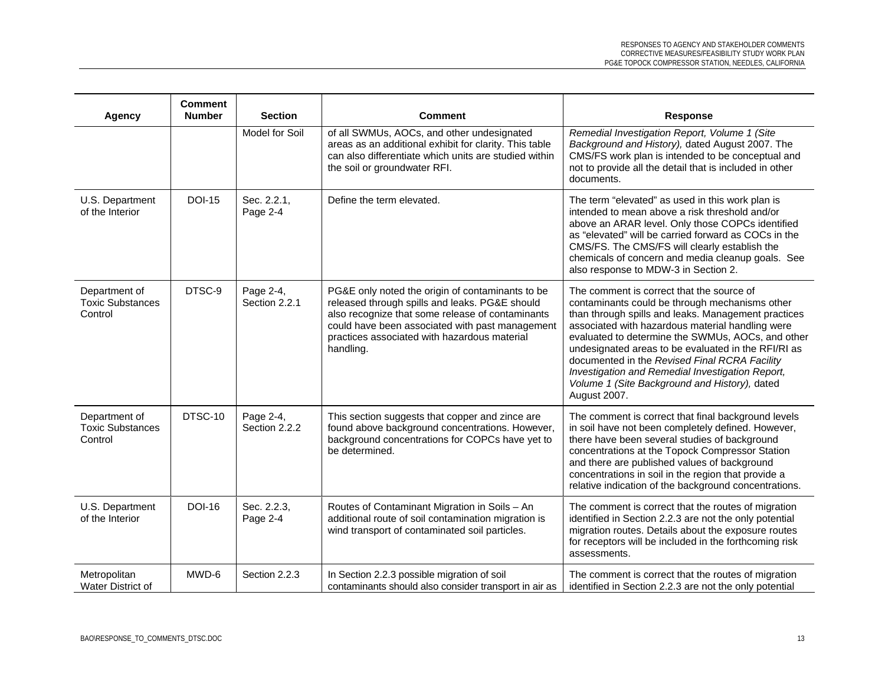| <b>Agency</b>                                       | <b>Comment</b><br><b>Number</b> | <b>Section</b>             | <b>Comment</b>                                                                                                                                                                                                                                                         | <b>Response</b>                                                                                                                                                                                                                                                                                                                                                                                                                                                                          |
|-----------------------------------------------------|---------------------------------|----------------------------|------------------------------------------------------------------------------------------------------------------------------------------------------------------------------------------------------------------------------------------------------------------------|------------------------------------------------------------------------------------------------------------------------------------------------------------------------------------------------------------------------------------------------------------------------------------------------------------------------------------------------------------------------------------------------------------------------------------------------------------------------------------------|
|                                                     |                                 | Model for Soil             | of all SWMUs, AOCs, and other undesignated<br>areas as an additional exhibit for clarity. This table<br>can also differentiate which units are studied within<br>the soil or groundwater RFI.                                                                          | Remedial Investigation Report, Volume 1 (Site<br>Background and History), dated August 2007. The<br>CMS/FS work plan is intended to be conceptual and<br>not to provide all the detail that is included in other<br>documents.                                                                                                                                                                                                                                                           |
| U.S. Department<br>of the Interior                  | <b>DOI-15</b>                   | Sec. 2.2.1.<br>Page 2-4    | Define the term elevated.                                                                                                                                                                                                                                              | The term "elevated" as used in this work plan is<br>intended to mean above a risk threshold and/or<br>above an ARAR level. Only those COPCs identified<br>as "elevated" will be carried forward as COCs in the<br>CMS/FS. The CMS/FS will clearly establish the<br>chemicals of concern and media cleanup goals. See<br>also response to MDW-3 in Section 2.                                                                                                                             |
| Department of<br><b>Toxic Substances</b><br>Control | DTSC-9                          | Page 2-4,<br>Section 2.2.1 | PG&E only noted the origin of contaminants to be<br>released through spills and leaks. PG&E should<br>also recognize that some release of contaminants<br>could have been associated with past management<br>practices associated with hazardous material<br>handling. | The comment is correct that the source of<br>contaminants could be through mechanisms other<br>than through spills and leaks. Management practices<br>associated with hazardous material handling were<br>evaluated to determine the SWMUs, AOCs, and other<br>undesignated areas to be evaluated in the RFI/RI as<br>documented in the Revised Final RCRA Facility<br>Investigation and Remedial Investigation Report,<br>Volume 1 (Site Background and History), dated<br>August 2007. |
| Department of<br><b>Toxic Substances</b><br>Control | DTSC-10                         | Page 2-4,<br>Section 2.2.2 | This section suggests that copper and zince are<br>found above background concentrations. However,<br>background concentrations for COPCs have yet to<br>be determined.                                                                                                | The comment is correct that final background levels<br>in soil have not been completely defined. However,<br>there have been several studies of background<br>concentrations at the Topock Compressor Station<br>and there are published values of background<br>concentrations in soil in the region that provide a<br>relative indication of the background concentrations.                                                                                                            |
| U.S. Department<br>of the Interior                  | <b>DOI-16</b>                   | Sec. 2.2.3,<br>Page 2-4    | Routes of Contaminant Migration in Soils - An<br>additional route of soil contamination migration is<br>wind transport of contaminated soil particles.                                                                                                                 | The comment is correct that the routes of migration<br>identified in Section 2.2.3 are not the only potential<br>migration routes. Details about the exposure routes<br>for receptors will be included in the forthcoming risk<br>assessments.                                                                                                                                                                                                                                           |
| Metropolitan<br>Water District of                   | MWD-6                           | Section 2.2.3              | In Section 2.2.3 possible migration of soil<br>contaminants should also consider transport in air as                                                                                                                                                                   | The comment is correct that the routes of migration<br>identified in Section 2.2.3 are not the only potential                                                                                                                                                                                                                                                                                                                                                                            |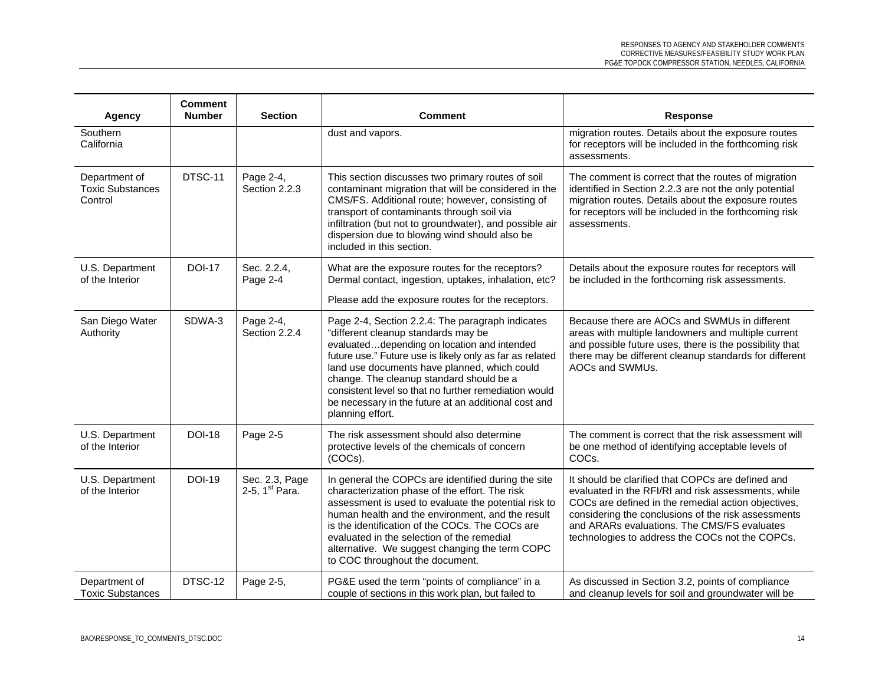| <b>Agency</b>                                       | <b>Comment</b><br><b>Number</b> | <b>Section</b>                               | Comment                                                                                                                                                                                                                                                                                                                                                                                                                             | <b>Response</b>                                                                                                                                                                                                                                                                                                          |
|-----------------------------------------------------|---------------------------------|----------------------------------------------|-------------------------------------------------------------------------------------------------------------------------------------------------------------------------------------------------------------------------------------------------------------------------------------------------------------------------------------------------------------------------------------------------------------------------------------|--------------------------------------------------------------------------------------------------------------------------------------------------------------------------------------------------------------------------------------------------------------------------------------------------------------------------|
| Southern<br>California                              |                                 |                                              | dust and vapors.                                                                                                                                                                                                                                                                                                                                                                                                                    | migration routes. Details about the exposure routes<br>for receptors will be included in the forthcoming risk<br>assessments.                                                                                                                                                                                            |
| Department of<br><b>Toxic Substances</b><br>Control | DTSC-11                         | Page 2-4,<br>Section 2.2.3                   | This section discusses two primary routes of soil<br>contaminant migration that will be considered in the<br>CMS/FS. Additional route; however, consisting of<br>transport of contaminants through soil via<br>infiltration (but not to groundwater), and possible air<br>dispersion due to blowing wind should also be<br>included in this section.                                                                                | The comment is correct that the routes of migration<br>identified in Section 2.2.3 are not the only potential<br>migration routes. Details about the exposure routes<br>for receptors will be included in the forthcoming risk<br>assessments.                                                                           |
| U.S. Department<br>of the Interior                  | <b>DOI-17</b>                   | Sec. 2.2.4,<br>Page 2-4                      | What are the exposure routes for the receptors?<br>Dermal contact, ingestion, uptakes, inhalation, etc?<br>Please add the exposure routes for the receptors.                                                                                                                                                                                                                                                                        | Details about the exposure routes for receptors will<br>be included in the forthcoming risk assessments.                                                                                                                                                                                                                 |
| San Diego Water<br>Authority                        | SDWA-3                          | Page 2-4,<br>Section 2.2.4                   | Page 2-4, Section 2.2.4: The paragraph indicates<br>"different cleanup standards may be<br>evaluateddepending on location and intended<br>future use." Future use is likely only as far as related<br>land use documents have planned, which could<br>change. The cleanup standard should be a<br>consistent level so that no further remediation would<br>be necessary in the future at an additional cost and<br>planning effort. | Because there are AOCs and SWMUs in different<br>areas with multiple landowners and multiple current<br>and possible future uses, there is the possibility that<br>there may be different cleanup standards for different<br>AOCs and SWMUs.                                                                             |
| U.S. Department<br>of the Interior                  | <b>DOI-18</b>                   | Page 2-5                                     | The risk assessment should also determine<br>protective levels of the chemicals of concern<br>(COCs).                                                                                                                                                                                                                                                                                                                               | The comment is correct that the risk assessment will<br>be one method of identifying acceptable levels of<br>COCs.                                                                                                                                                                                                       |
| U.S. Department<br>of the Interior                  | <b>DOI-19</b>                   | Sec. 2.3, Page<br>2-5, 1 <sup>st</sup> Para. | In general the COPCs are identified during the site<br>characterization phase of the effort. The risk<br>assessment is used to evaluate the potential risk to<br>human health and the environment, and the result<br>is the identification of the COCs. The COCs are<br>evaluated in the selection of the remedial<br>alternative. We suggest changing the term COPC<br>to COC throughout the document.                             | It should be clarified that COPCs are defined and<br>evaluated in the RFI/RI and risk assessments, while<br>COCs are defined in the remedial action objectives,<br>considering the conclusions of the risk assessments<br>and ARARs evaluations. The CMS/FS evaluates<br>technologies to address the COCs not the COPCs. |
| Department of<br><b>Toxic Substances</b>            | DTSC-12                         | Page 2-5,                                    | PG&E used the term "points of compliance" in a<br>couple of sections in this work plan, but failed to                                                                                                                                                                                                                                                                                                                               | As discussed in Section 3.2, points of compliance<br>and cleanup levels for soil and groundwater will be                                                                                                                                                                                                                 |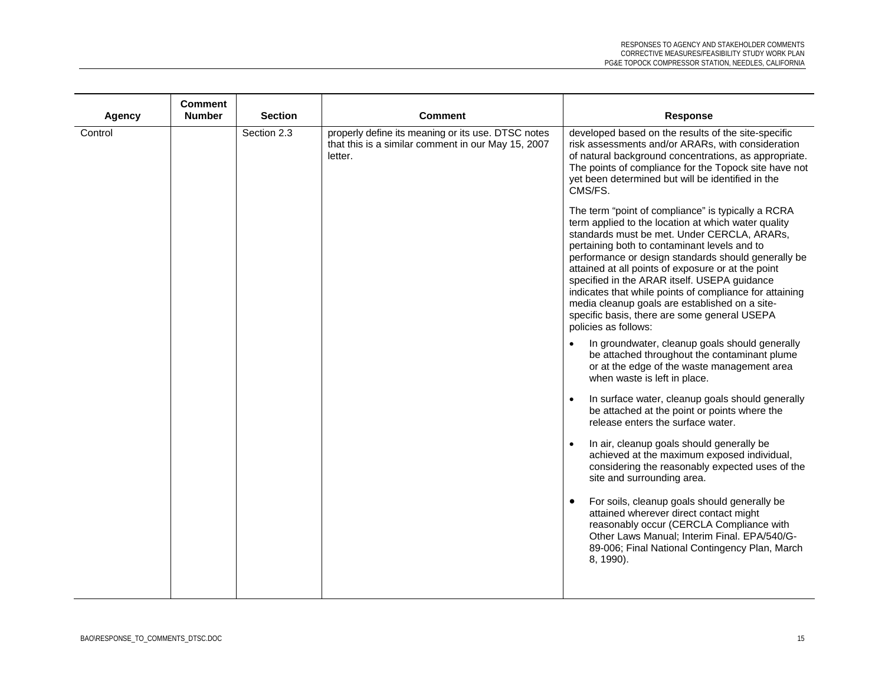| Agency  | <b>Comment</b><br><b>Number</b> | <b>Section</b> | <b>Comment</b>                                                                                                      | <b>Response</b>                                                                                                                                                                                                                                                                                                                                                                                                                                                                                                                                            |
|---------|---------------------------------|----------------|---------------------------------------------------------------------------------------------------------------------|------------------------------------------------------------------------------------------------------------------------------------------------------------------------------------------------------------------------------------------------------------------------------------------------------------------------------------------------------------------------------------------------------------------------------------------------------------------------------------------------------------------------------------------------------------|
| Control |                                 | Section 2.3    | properly define its meaning or its use. DTSC notes<br>that this is a similar comment in our May 15, 2007<br>letter. | developed based on the results of the site-specific<br>risk assessments and/or ARARs, with consideration<br>of natural background concentrations, as appropriate.<br>The points of compliance for the Topock site have not<br>yet been determined but will be identified in the<br>CMS/FS.                                                                                                                                                                                                                                                                 |
|         |                                 |                |                                                                                                                     | The term "point of compliance" is typically a RCRA<br>term applied to the location at which water quality<br>standards must be met. Under CERCLA, ARARs,<br>pertaining both to contaminant levels and to<br>performance or design standards should generally be<br>attained at all points of exposure or at the point<br>specified in the ARAR itself. USEPA guidance<br>indicates that while points of compliance for attaining<br>media cleanup goals are established on a site-<br>specific basis, there are some general USEPA<br>policies as follows: |
|         |                                 |                |                                                                                                                     | In groundwater, cleanup goals should generally<br>be attached throughout the contaminant plume<br>or at the edge of the waste management area<br>when waste is left in place.                                                                                                                                                                                                                                                                                                                                                                              |
|         |                                 |                |                                                                                                                     | In surface water, cleanup goals should generally<br>be attached at the point or points where the<br>release enters the surface water.                                                                                                                                                                                                                                                                                                                                                                                                                      |
|         |                                 |                |                                                                                                                     | In air, cleanup goals should generally be<br>achieved at the maximum exposed individual,<br>considering the reasonably expected uses of the<br>site and surrounding area.                                                                                                                                                                                                                                                                                                                                                                                  |
|         |                                 |                |                                                                                                                     | For soils, cleanup goals should generally be<br>attained wherever direct contact might<br>reasonably occur (CERCLA Compliance with<br>Other Laws Manual; Interim Final. EPA/540/G-<br>89-006; Final National Contingency Plan, March<br>8, 1990).                                                                                                                                                                                                                                                                                                          |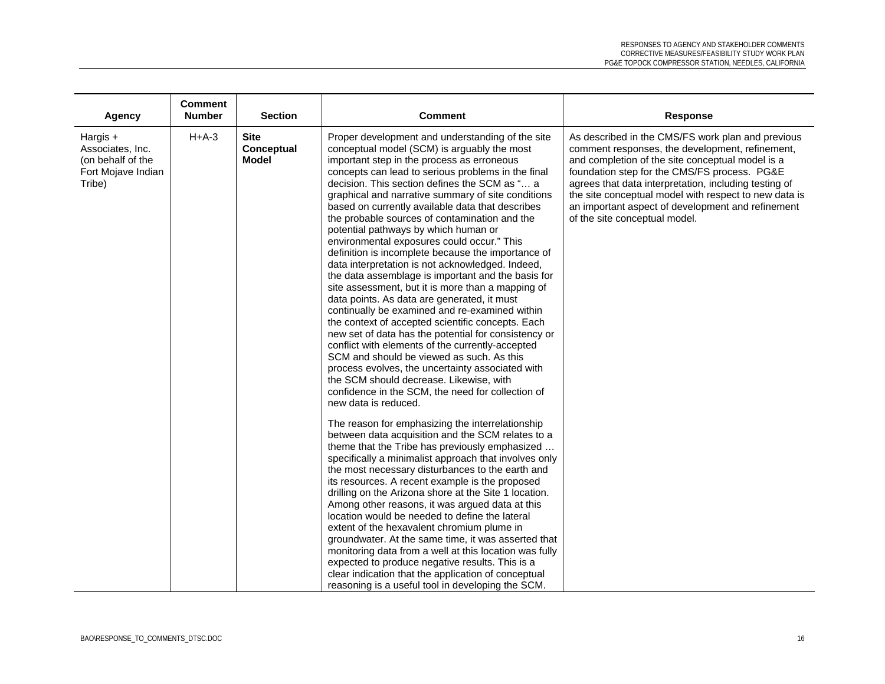| Agency                                                                              | <b>Comment</b><br><b>Number</b> | <b>Section</b>                     | <b>Comment</b>                                                                                                                                                                                                                                                                                                                                                                                                                                                                                                                                                                                                                                                                                                                                                                                                                                                                                                                                                                                                                                                                                                                                                                                                        | <b>Response</b>                                                                                                                                                                                                                                                                                                                                                                                                  |
|-------------------------------------------------------------------------------------|---------------------------------|------------------------------------|-----------------------------------------------------------------------------------------------------------------------------------------------------------------------------------------------------------------------------------------------------------------------------------------------------------------------------------------------------------------------------------------------------------------------------------------------------------------------------------------------------------------------------------------------------------------------------------------------------------------------------------------------------------------------------------------------------------------------------------------------------------------------------------------------------------------------------------------------------------------------------------------------------------------------------------------------------------------------------------------------------------------------------------------------------------------------------------------------------------------------------------------------------------------------------------------------------------------------|------------------------------------------------------------------------------------------------------------------------------------------------------------------------------------------------------------------------------------------------------------------------------------------------------------------------------------------------------------------------------------------------------------------|
| Hargis $+$<br>Associates, Inc.<br>(on behalf of the<br>Fort Mojave Indian<br>Tribe) | $H+A-3$                         | <b>Site</b><br>Conceptual<br>Model | Proper development and understanding of the site<br>conceptual model (SCM) is arguably the most<br>important step in the process as erroneous<br>concepts can lead to serious problems in the final<br>decision. This section defines the SCM as " a<br>graphical and narrative summary of site conditions<br>based on currently available data that describes<br>the probable sources of contamination and the<br>potential pathways by which human or<br>environmental exposures could occur." This<br>definition is incomplete because the importance of<br>data interpretation is not acknowledged. Indeed,<br>the data assemblage is important and the basis for<br>site assessment, but it is more than a mapping of<br>data points. As data are generated, it must<br>continually be examined and re-examined within<br>the context of accepted scientific concepts. Each<br>new set of data has the potential for consistency or<br>conflict with elements of the currently-accepted<br>SCM and should be viewed as such. As this<br>process evolves, the uncertainty associated with<br>the SCM should decrease. Likewise, with<br>confidence in the SCM, the need for collection of<br>new data is reduced. | As described in the CMS/FS work plan and previous<br>comment responses, the development, refinement,<br>and completion of the site conceptual model is a<br>foundation step for the CMS/FS process. PG&E<br>agrees that data interpretation, including testing of<br>the site conceptual model with respect to new data is<br>an important aspect of development and refinement<br>of the site conceptual model. |
|                                                                                     |                                 |                                    | The reason for emphasizing the interrelationship<br>between data acquisition and the SCM relates to a<br>theme that the Tribe has previously emphasized<br>specifically a minimalist approach that involves only<br>the most necessary disturbances to the earth and<br>its resources. A recent example is the proposed<br>drilling on the Arizona shore at the Site 1 location.<br>Among other reasons, it was argued data at this<br>location would be needed to define the lateral<br>extent of the hexavalent chromium plume in<br>groundwater. At the same time, it was asserted that<br>monitoring data from a well at this location was fully<br>expected to produce negative results. This is a<br>clear indication that the application of conceptual<br>reasoning is a useful tool in developing the SCM.                                                                                                                                                                                                                                                                                                                                                                                                   |                                                                                                                                                                                                                                                                                                                                                                                                                  |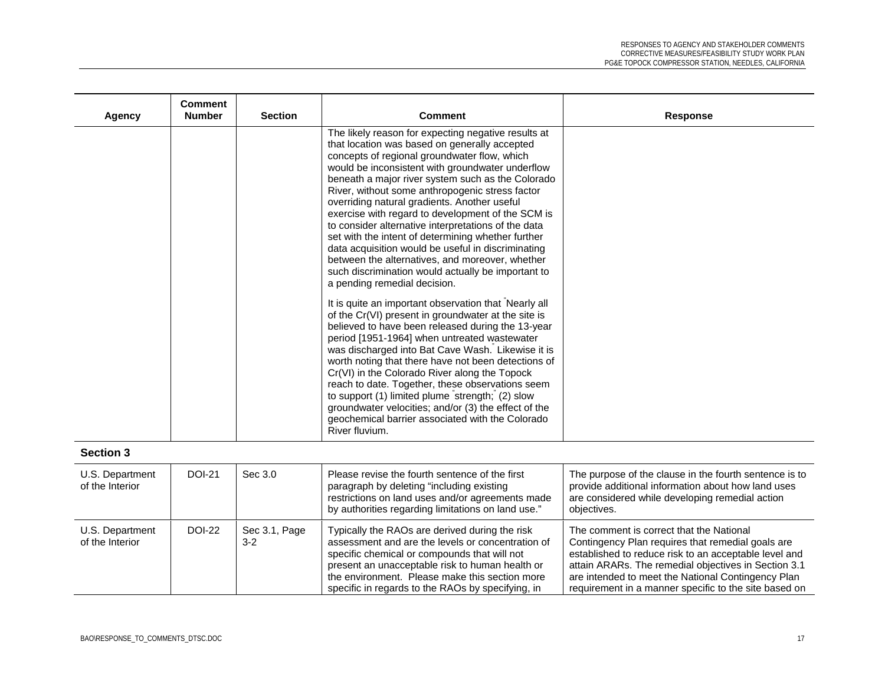| Agency | <b>Comment</b><br><b>Number</b> | <b>Section</b> | <b>Comment</b>                                                                                                                                                                                                                                                                                                                                                                                                                                                                                                                                                                                                                                                                                                                                                                                                                                                                                                                                                                                                                                                                                                                                                                                                                                                                                                                                          | <b>Response</b> |
|--------|---------------------------------|----------------|---------------------------------------------------------------------------------------------------------------------------------------------------------------------------------------------------------------------------------------------------------------------------------------------------------------------------------------------------------------------------------------------------------------------------------------------------------------------------------------------------------------------------------------------------------------------------------------------------------------------------------------------------------------------------------------------------------------------------------------------------------------------------------------------------------------------------------------------------------------------------------------------------------------------------------------------------------------------------------------------------------------------------------------------------------------------------------------------------------------------------------------------------------------------------------------------------------------------------------------------------------------------------------------------------------------------------------------------------------|-----------------|
|        |                                 |                | The likely reason for expecting negative results at<br>that location was based on generally accepted<br>concepts of regional groundwater flow, which<br>would be inconsistent with groundwater underflow<br>beneath a major river system such as the Colorado<br>River, without some anthropogenic stress factor<br>overriding natural gradients. Another useful<br>exercise with regard to development of the SCM is<br>to consider alternative interpretations of the data<br>set with the intent of determining whether further<br>data acquisition would be useful in discriminating<br>between the alternatives, and moreover, whether<br>such discrimination would actually be important to<br>a pending remedial decision.<br>It is quite an important observation that Nearly all<br>of the Cr(VI) present in groundwater at the site is<br>believed to have been released during the 13-year<br>period [1951-1964] when untreated wastewater<br>was discharged into Bat Cave Wash. Likewise it is<br>worth noting that there have not been detections of<br>Cr(VI) in the Colorado River along the Topock<br>reach to date. Together, these observations seem<br>to support (1) limited plume strength; (2) slow<br>groundwater velocities; and/or (3) the effect of the<br>geochemical barrier associated with the Colorado<br>River fluvium. |                 |

## **Section 3**

| U.S. Department<br>of the Interior | <b>DOI-21</b> | Sec 3.0                | Please revise the fourth sentence of the first<br>paragraph by deleting "including existing<br>restrictions on land uses and/or agreements made<br>by authorities regarding limitations on land use."                                                                                                         | The purpose of the clause in the fourth sentence is to<br>provide additional information about how land uses<br>are considered while developing remedial action<br>objectives.                                                                                                                                                |
|------------------------------------|---------------|------------------------|---------------------------------------------------------------------------------------------------------------------------------------------------------------------------------------------------------------------------------------------------------------------------------------------------------------|-------------------------------------------------------------------------------------------------------------------------------------------------------------------------------------------------------------------------------------------------------------------------------------------------------------------------------|
| U.S. Department<br>of the Interior | <b>DOI-22</b> | Sec 3.1, Page<br>$3-2$ | Typically the RAOs are derived during the risk<br>assessment and are the levels or concentration of<br>specific chemical or compounds that will not<br>present an unacceptable risk to human health or<br>the environment. Please make this section more<br>specific in regards to the RAOs by specifying, in | The comment is correct that the National<br>Contingency Plan requires that remedial goals are<br>established to reduce risk to an acceptable level and<br>attain ARARs. The remedial objectives in Section 3.1<br>are intended to meet the National Contingency Plan<br>requirement in a manner specific to the site based on |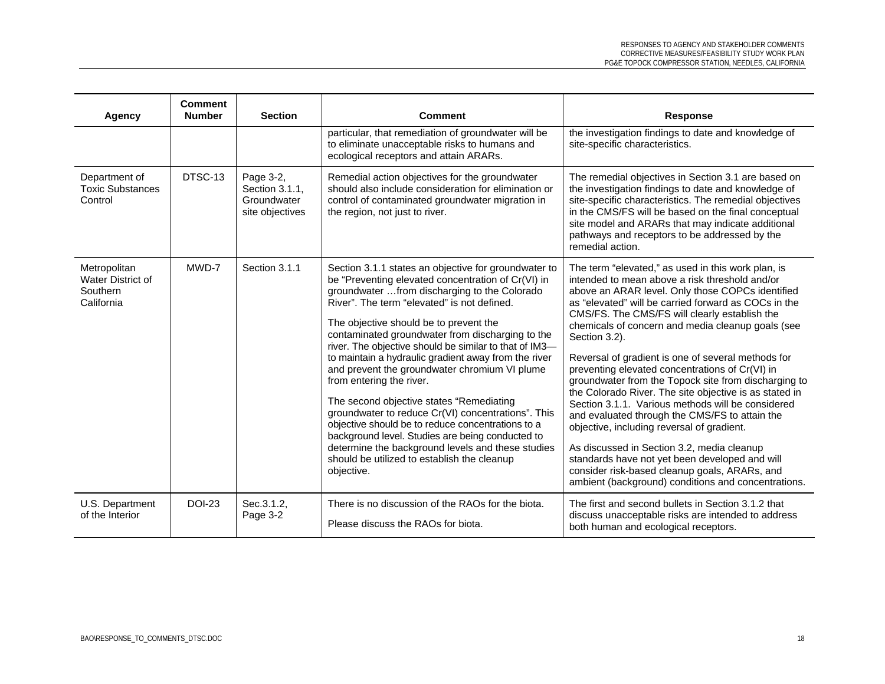| <b>Agency</b>                                               | <b>Comment</b><br><b>Number</b> | <b>Section</b>                                                | <b>Comment</b>                                                                                                                                                                                                                                                                                                                                                                                                                                                                                                                                                                                                                                                                                                                                                                                                                      | <b>Response</b>                                                                                                                                                                                                                                                                                                                                                                                                                                                                                                                                                                                                                                                                                                                                                                                                                                                                                                                 |
|-------------------------------------------------------------|---------------------------------|---------------------------------------------------------------|-------------------------------------------------------------------------------------------------------------------------------------------------------------------------------------------------------------------------------------------------------------------------------------------------------------------------------------------------------------------------------------------------------------------------------------------------------------------------------------------------------------------------------------------------------------------------------------------------------------------------------------------------------------------------------------------------------------------------------------------------------------------------------------------------------------------------------------|---------------------------------------------------------------------------------------------------------------------------------------------------------------------------------------------------------------------------------------------------------------------------------------------------------------------------------------------------------------------------------------------------------------------------------------------------------------------------------------------------------------------------------------------------------------------------------------------------------------------------------------------------------------------------------------------------------------------------------------------------------------------------------------------------------------------------------------------------------------------------------------------------------------------------------|
|                                                             |                                 |                                                               | particular, that remediation of groundwater will be<br>to eliminate unacceptable risks to humans and<br>ecological receptors and attain ARARs.                                                                                                                                                                                                                                                                                                                                                                                                                                                                                                                                                                                                                                                                                      | the investigation findings to date and knowledge of<br>site-specific characteristics.                                                                                                                                                                                                                                                                                                                                                                                                                                                                                                                                                                                                                                                                                                                                                                                                                                           |
| Department of<br><b>Toxic Substances</b><br>Control         | DTSC-13                         | Page 3-2,<br>Section 3.1.1.<br>Groundwater<br>site objectives | Remedial action objectives for the groundwater<br>should also include consideration for elimination or<br>control of contaminated groundwater migration in<br>the region, not just to river.                                                                                                                                                                                                                                                                                                                                                                                                                                                                                                                                                                                                                                        | The remedial objectives in Section 3.1 are based on<br>the investigation findings to date and knowledge of<br>site-specific characteristics. The remedial objectives<br>in the CMS/FS will be based on the final conceptual<br>site model and ARARs that may indicate additional<br>pathways and receptors to be addressed by the<br>remedial action.                                                                                                                                                                                                                                                                                                                                                                                                                                                                                                                                                                           |
| Metropolitan<br>Water District of<br>Southern<br>California | MWD-7                           | Section 3.1.1                                                 | Section 3.1.1 states an objective for groundwater to<br>be "Preventing elevated concentration of Cr(VI) in<br>groundwater from discharging to the Colorado<br>River". The term "elevated" is not defined.<br>The objective should be to prevent the<br>contaminated groundwater from discharging to the<br>river. The objective should be similar to that of IM3-<br>to maintain a hydraulic gradient away from the river<br>and prevent the groundwater chromium VI plume<br>from entering the river.<br>The second objective states "Remediating<br>groundwater to reduce Cr(VI) concentrations". This<br>objective should be to reduce concentrations to a<br>background level. Studies are being conducted to<br>determine the background levels and these studies<br>should be utilized to establish the cleanup<br>objective. | The term "elevated," as used in this work plan, is<br>intended to mean above a risk threshold and/or<br>above an ARAR level. Only those COPCs identified<br>as "elevated" will be carried forward as COCs in the<br>CMS/FS. The CMS/FS will clearly establish the<br>chemicals of concern and media cleanup goals (see<br>Section 3.2).<br>Reversal of gradient is one of several methods for<br>preventing elevated concentrations of Cr(VI) in<br>groundwater from the Topock site from discharging to<br>the Colorado River. The site objective is as stated in<br>Section 3.1.1. Various methods will be considered<br>and evaluated through the CMS/FS to attain the<br>objective, including reversal of gradient.<br>As discussed in Section 3.2, media cleanup<br>standards have not yet been developed and will<br>consider risk-based cleanup goals, ARARs, and<br>ambient (background) conditions and concentrations. |
| U.S. Department<br>of the Interior                          | <b>DOI-23</b>                   | Sec.3.1.2,<br>Page 3-2                                        | There is no discussion of the RAOs for the biota.<br>Please discuss the RAOs for biota.                                                                                                                                                                                                                                                                                                                                                                                                                                                                                                                                                                                                                                                                                                                                             | The first and second bullets in Section 3.1.2 that<br>discuss unacceptable risks are intended to address<br>both human and ecological receptors.                                                                                                                                                                                                                                                                                                                                                                                                                                                                                                                                                                                                                                                                                                                                                                                |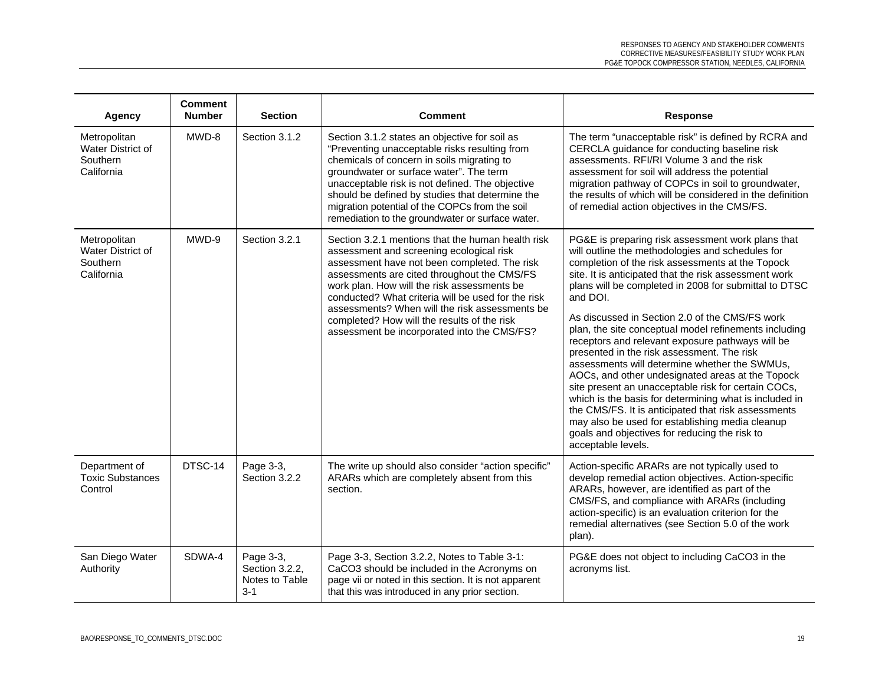| <b>Agency</b>                                               | <b>Comment</b><br><b>Number</b> | <b>Section</b>                                           | <b>Comment</b>                                                                                                                                                                                                                                                                                                                                                                                                                                    | <b>Response</b>                                                                                                                                                                                                                                                                                                                                                                                                                                                                                                                                                                                                                                                                                                                                                                                                                                                                                             |
|-------------------------------------------------------------|---------------------------------|----------------------------------------------------------|---------------------------------------------------------------------------------------------------------------------------------------------------------------------------------------------------------------------------------------------------------------------------------------------------------------------------------------------------------------------------------------------------------------------------------------------------|-------------------------------------------------------------------------------------------------------------------------------------------------------------------------------------------------------------------------------------------------------------------------------------------------------------------------------------------------------------------------------------------------------------------------------------------------------------------------------------------------------------------------------------------------------------------------------------------------------------------------------------------------------------------------------------------------------------------------------------------------------------------------------------------------------------------------------------------------------------------------------------------------------------|
| Metropolitan<br>Water District of<br>Southern<br>California | MWD-8                           | Section 3.1.2                                            | Section 3.1.2 states an objective for soil as<br>"Preventing unacceptable risks resulting from<br>chemicals of concern in soils migrating to<br>groundwater or surface water". The term<br>unacceptable risk is not defined. The objective<br>should be defined by studies that determine the<br>migration potential of the COPCs from the soil<br>remediation to the groundwater or surface water.                                               | The term "unacceptable risk" is defined by RCRA and<br>CERCLA guidance for conducting baseline risk<br>assessments. RFI/RI Volume 3 and the risk<br>assessment for soil will address the potential<br>migration pathway of COPCs in soil to groundwater,<br>the results of which will be considered in the definition<br>of remedial action objectives in the CMS/FS.                                                                                                                                                                                                                                                                                                                                                                                                                                                                                                                                       |
| Metropolitan<br>Water District of<br>Southern<br>California | MWD-9                           | Section 3.2.1                                            | Section 3.2.1 mentions that the human health risk<br>assessment and screening ecological risk<br>assessment have not been completed. The risk<br>assessments are cited throughout the CMS/FS<br>work plan. How will the risk assessments be<br>conducted? What criteria will be used for the risk<br>assessments? When will the risk assessments be<br>completed? How will the results of the risk<br>assessment be incorporated into the CMS/FS? | PG&E is preparing risk assessment work plans that<br>will outline the methodologies and schedules for<br>completion of the risk assessments at the Topock<br>site. It is anticipated that the risk assessment work<br>plans will be completed in 2008 for submittal to DTSC<br>and DOI.<br>As discussed in Section 2.0 of the CMS/FS work<br>plan, the site conceptual model refinements including<br>receptors and relevant exposure pathways will be<br>presented in the risk assessment. The risk<br>assessments will determine whether the SWMUs,<br>AOCs, and other undesignated areas at the Topock<br>site present an unacceptable risk for certain COCs,<br>which is the basis for determining what is included in<br>the CMS/FS. It is anticipated that risk assessments<br>may also be used for establishing media cleanup<br>goals and objectives for reducing the risk to<br>acceptable levels. |
| Department of<br><b>Toxic Substances</b><br>Control         | DTSC-14                         | Page 3-3,<br>Section 3.2.2                               | The write up should also consider "action specific"<br>ARARs which are completely absent from this<br>section.                                                                                                                                                                                                                                                                                                                                    | Action-specific ARARs are not typically used to<br>develop remedial action objectives. Action-specific<br>ARARs, however, are identified as part of the<br>CMS/FS, and compliance with ARARs (including<br>action-specific) is an evaluation criterion for the<br>remedial alternatives (see Section 5.0 of the work<br>plan).                                                                                                                                                                                                                                                                                                                                                                                                                                                                                                                                                                              |
| San Diego Water<br>Authority                                | SDWA-4                          | Page 3-3,<br>Section 3.2.2,<br>Notes to Table<br>$3 - 1$ | Page 3-3, Section 3.2.2, Notes to Table 3-1:<br>CaCO3 should be included in the Acronyms on<br>page vii or noted in this section. It is not apparent<br>that this was introduced in any prior section.                                                                                                                                                                                                                                            | PG&E does not object to including CaCO3 in the<br>acronyms list.                                                                                                                                                                                                                                                                                                                                                                                                                                                                                                                                                                                                                                                                                                                                                                                                                                            |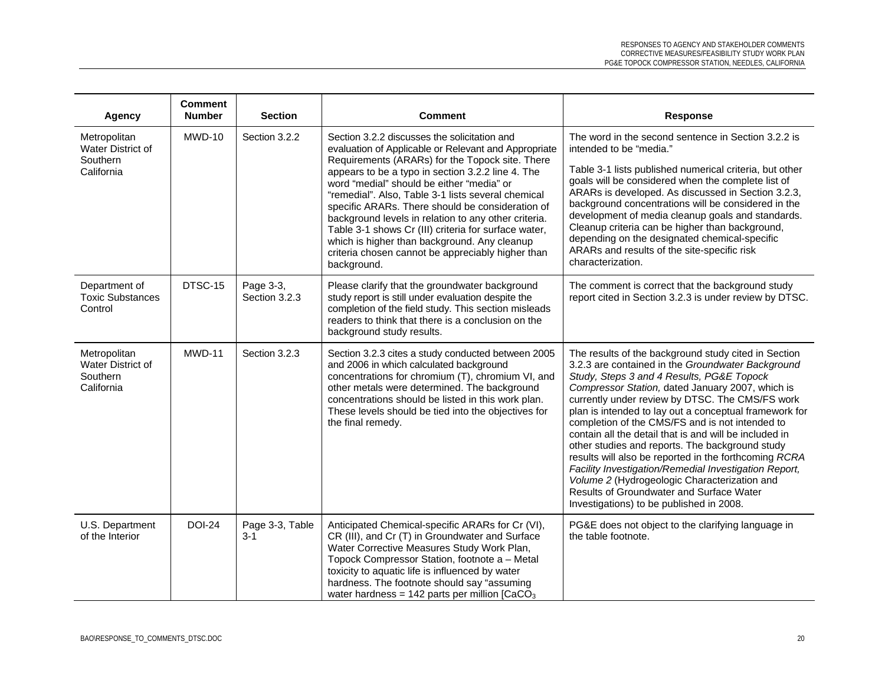| Agency                                                      | <b>Comment</b><br><b>Number</b> | <b>Section</b>             | <b>Comment</b>                                                                                                                                                                                                                                                                                                                                                                                                                                                                                                                                                                                          | <b>Response</b>                                                                                                                                                                                                                                                                                                                                                                                                                                                                                                                                                                                                                                                                                                                                   |
|-------------------------------------------------------------|---------------------------------|----------------------------|---------------------------------------------------------------------------------------------------------------------------------------------------------------------------------------------------------------------------------------------------------------------------------------------------------------------------------------------------------------------------------------------------------------------------------------------------------------------------------------------------------------------------------------------------------------------------------------------------------|---------------------------------------------------------------------------------------------------------------------------------------------------------------------------------------------------------------------------------------------------------------------------------------------------------------------------------------------------------------------------------------------------------------------------------------------------------------------------------------------------------------------------------------------------------------------------------------------------------------------------------------------------------------------------------------------------------------------------------------------------|
| Metropolitan<br>Water District of<br>Southern<br>California | MWD-10                          | Section 3.2.2              | Section 3.2.2 discusses the solicitation and<br>evaluation of Applicable or Relevant and Appropriate<br>Requirements (ARARs) for the Topock site. There<br>appears to be a typo in section 3.2.2 line 4. The<br>word "medial" should be either "media" or<br>"remedial". Also, Table 3-1 lists several chemical<br>specific ARARs. There should be consideration of<br>background levels in relation to any other criteria.<br>Table 3-1 shows Cr (III) criteria for surface water,<br>which is higher than background. Any cleanup<br>criteria chosen cannot be appreciably higher than<br>background. | The word in the second sentence in Section 3.2.2 is<br>intended to be "media."<br>Table 3-1 lists published numerical criteria, but other<br>goals will be considered when the complete list of<br>ARARs is developed. As discussed in Section 3.2.3,<br>background concentrations will be considered in the<br>development of media cleanup goals and standards.<br>Cleanup criteria can be higher than background,<br>depending on the designated chemical-specific<br>ARARs and results of the site-specific risk<br>characterization.                                                                                                                                                                                                         |
| Department of<br><b>Toxic Substances</b><br>Control         | DTSC-15                         | Page 3-3,<br>Section 3.2.3 | Please clarify that the groundwater background<br>study report is still under evaluation despite the<br>completion of the field study. This section misleads<br>readers to think that there is a conclusion on the<br>background study results.                                                                                                                                                                                                                                                                                                                                                         | The comment is correct that the background study<br>report cited in Section 3.2.3 is under review by DTSC.                                                                                                                                                                                                                                                                                                                                                                                                                                                                                                                                                                                                                                        |
| Metropolitan<br>Water District of<br>Southern<br>California | MWD-11                          | Section 3.2.3              | Section 3.2.3 cites a study conducted between 2005<br>and 2006 in which calculated background<br>concentrations for chromium (T), chromium VI, and<br>other metals were determined. The background<br>concentrations should be listed in this work plan.<br>These levels should be tied into the objectives for<br>the final remedy.                                                                                                                                                                                                                                                                    | The results of the background study cited in Section<br>3.2.3 are contained in the Groundwater Background<br>Study, Steps 3 and 4 Results, PG&E Topock<br>Compressor Station, dated January 2007, which is<br>currently under review by DTSC. The CMS/FS work<br>plan is intended to lay out a conceptual framework for<br>completion of the CMS/FS and is not intended to<br>contain all the detail that is and will be included in<br>other studies and reports. The background study<br>results will also be reported in the forthcoming RCRA<br>Facility Investigation/Remedial Investigation Report,<br>Volume 2 (Hydrogeologic Characterization and<br>Results of Groundwater and Surface Water<br>Investigations) to be published in 2008. |
| U.S. Department<br>of the Interior                          | <b>DOI-24</b>                   | Page 3-3, Table<br>$3 - 1$ | Anticipated Chemical-specific ARARs for Cr (VI),<br>CR (III), and Cr (T) in Groundwater and Surface<br>Water Corrective Measures Study Work Plan,<br>Topock Compressor Station, footnote a - Metal<br>toxicity to aquatic life is influenced by water<br>hardness. The footnote should say "assuming<br>water hardness = $142$ parts per million [CaCO <sub>3</sub>                                                                                                                                                                                                                                     | PG&E does not object to the clarifying language in<br>the table footnote.                                                                                                                                                                                                                                                                                                                                                                                                                                                                                                                                                                                                                                                                         |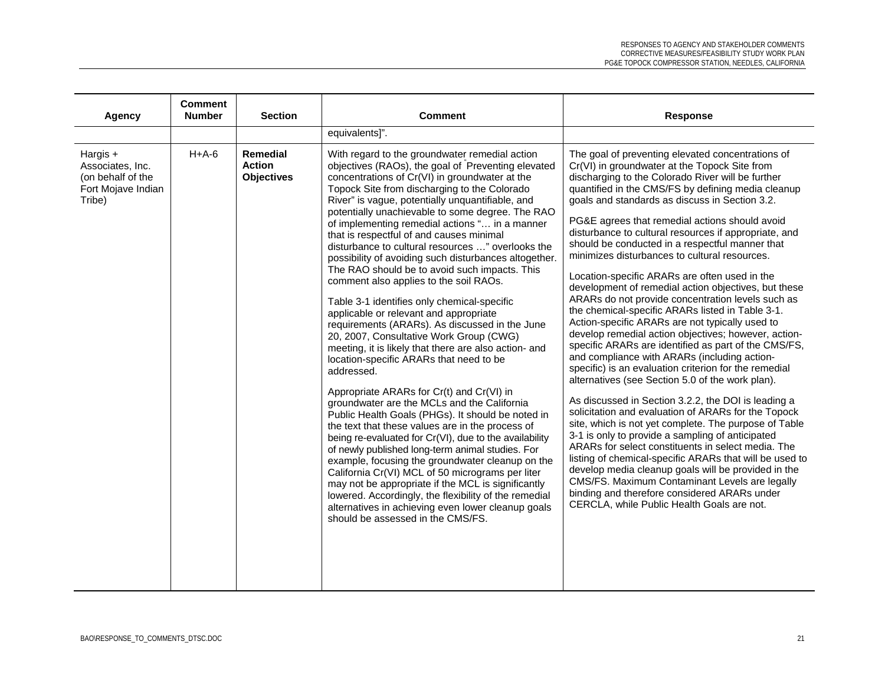| Agency                                                                            | <b>Comment</b><br><b>Number</b> | <b>Section</b>                                 | <b>Comment</b>                                                                                                                                                                                                                                                                                                                                                                                                                                                                                                                                                                                                                                                                                                                                                                                                                                                                                                                                                                                                                                                                                                                                                                                                                                                                                                                                                                                                                                                                                                                                                     | <b>Response</b>                                                                                                                                                                                                                                                                                                                                                                                                                                                                                                                                                                                                                                                                                                                                                                                                                                                                                                                                                                                                                                                                                                                                                                                                                                                                                                                                                                                                                                                                                                                                                                     |
|-----------------------------------------------------------------------------------|---------------------------------|------------------------------------------------|--------------------------------------------------------------------------------------------------------------------------------------------------------------------------------------------------------------------------------------------------------------------------------------------------------------------------------------------------------------------------------------------------------------------------------------------------------------------------------------------------------------------------------------------------------------------------------------------------------------------------------------------------------------------------------------------------------------------------------------------------------------------------------------------------------------------------------------------------------------------------------------------------------------------------------------------------------------------------------------------------------------------------------------------------------------------------------------------------------------------------------------------------------------------------------------------------------------------------------------------------------------------------------------------------------------------------------------------------------------------------------------------------------------------------------------------------------------------------------------------------------------------------------------------------------------------|-------------------------------------------------------------------------------------------------------------------------------------------------------------------------------------------------------------------------------------------------------------------------------------------------------------------------------------------------------------------------------------------------------------------------------------------------------------------------------------------------------------------------------------------------------------------------------------------------------------------------------------------------------------------------------------------------------------------------------------------------------------------------------------------------------------------------------------------------------------------------------------------------------------------------------------------------------------------------------------------------------------------------------------------------------------------------------------------------------------------------------------------------------------------------------------------------------------------------------------------------------------------------------------------------------------------------------------------------------------------------------------------------------------------------------------------------------------------------------------------------------------------------------------------------------------------------------------|
|                                                                                   |                                 |                                                | equivalents]".                                                                                                                                                                                                                                                                                                                                                                                                                                                                                                                                                                                                                                                                                                                                                                                                                                                                                                                                                                                                                                                                                                                                                                                                                                                                                                                                                                                                                                                                                                                                                     |                                                                                                                                                                                                                                                                                                                                                                                                                                                                                                                                                                                                                                                                                                                                                                                                                                                                                                                                                                                                                                                                                                                                                                                                                                                                                                                                                                                                                                                                                                                                                                                     |
| Hargis +<br>Associates, Inc.<br>(on behalf of the<br>Fort Mojave Indian<br>Tribe) | $H+A-6$                         | Remedial<br><b>Action</b><br><b>Objectives</b> | With regard to the groundwater remedial action<br>objectives (RAOs), the goal of Preventing elevated<br>concentrations of Cr(VI) in groundwater at the<br>Topock Site from discharging to the Colorado<br>River" is vague, potentially unquantifiable, and<br>potentially unachievable to some degree. The RAO<br>of implementing remedial actions " in a manner<br>that is respectful of and causes minimal<br>disturbance to cultural resources " overlooks the<br>possibility of avoiding such disturbances altogether.<br>The RAO should be to avoid such impacts. This<br>comment also applies to the soil RAOs.<br>Table 3-1 identifies only chemical-specific<br>applicable or relevant and appropriate<br>requirements (ARARs). As discussed in the June<br>20, 2007, Consultative Work Group (CWG)<br>meeting, it is likely that there are also action- and<br>location-specific ARARs that need to be<br>addressed.<br>Appropriate ARARs for Cr(t) and Cr(VI) in<br>groundwater are the MCLs and the California<br>Public Health Goals (PHGs). It should be noted in<br>the text that these values are in the process of<br>being re-evaluated for Cr(VI), due to the availability<br>of newly published long-term animal studies. For<br>example, focusing the groundwater cleanup on the<br>California Cr(VI) MCL of 50 micrograms per liter<br>may not be appropriate if the MCL is significantly<br>lowered. Accordingly, the flexibility of the remedial<br>alternatives in achieving even lower cleanup goals<br>should be assessed in the CMS/FS. | The goal of preventing elevated concentrations of<br>Cr(VI) in groundwater at the Topock Site from<br>discharging to the Colorado River will be further<br>quantified in the CMS/FS by defining media cleanup<br>goals and standards as discuss in Section 3.2.<br>PG&E agrees that remedial actions should avoid<br>disturbance to cultural resources if appropriate, and<br>should be conducted in a respectful manner that<br>minimizes disturbances to cultural resources.<br>Location-specific ARARs are often used in the<br>development of remedial action objectives, but these<br>ARARs do not provide concentration levels such as<br>the chemical-specific ARARs listed in Table 3-1.<br>Action-specific ARARs are not typically used to<br>develop remedial action objectives; however, action-<br>specific ARARs are identified as part of the CMS/FS,<br>and compliance with ARARs (including action-<br>specific) is an evaluation criterion for the remedial<br>alternatives (see Section 5.0 of the work plan).<br>As discussed in Section 3.2.2, the DOI is leading a<br>solicitation and evaluation of ARARs for the Topock<br>site, which is not yet complete. The purpose of Table<br>3-1 is only to provide a sampling of anticipated<br>ARARs for select constituents in select media. The<br>listing of chemical-specific ARARs that will be used to<br>develop media cleanup goals will be provided in the<br>CMS/FS. Maximum Contaminant Levels are legally<br>binding and therefore considered ARARs under<br>CERCLA, while Public Health Goals are not. |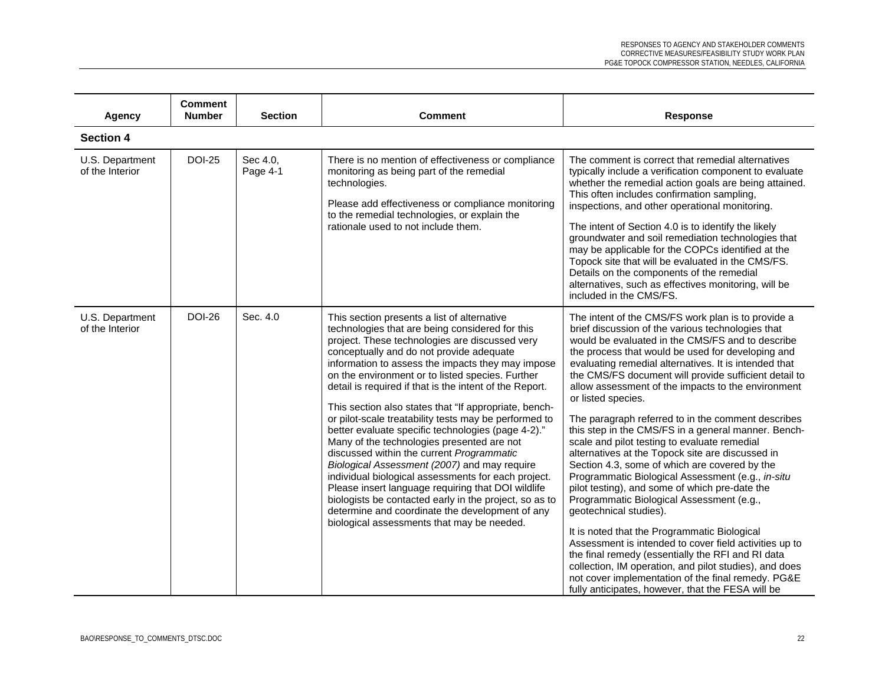| Agency                             | <b>Comment</b><br><b>Number</b> | <b>Section</b>       | <b>Comment</b>                                                                                                                                                                                                                                                                                                                                                                                                                                                                                                                                                                                                                                                                                                                                                                                                                                                                                                                                              | <b>Response</b>                                                                                                                                                                                                                                                                                                                                                                                                                                                                                                                                                                                                                                                                                                                                                                                                                                                                                                                                                                                                                                                                                                                                                                                    |
|------------------------------------|---------------------------------|----------------------|-------------------------------------------------------------------------------------------------------------------------------------------------------------------------------------------------------------------------------------------------------------------------------------------------------------------------------------------------------------------------------------------------------------------------------------------------------------------------------------------------------------------------------------------------------------------------------------------------------------------------------------------------------------------------------------------------------------------------------------------------------------------------------------------------------------------------------------------------------------------------------------------------------------------------------------------------------------|----------------------------------------------------------------------------------------------------------------------------------------------------------------------------------------------------------------------------------------------------------------------------------------------------------------------------------------------------------------------------------------------------------------------------------------------------------------------------------------------------------------------------------------------------------------------------------------------------------------------------------------------------------------------------------------------------------------------------------------------------------------------------------------------------------------------------------------------------------------------------------------------------------------------------------------------------------------------------------------------------------------------------------------------------------------------------------------------------------------------------------------------------------------------------------------------------|
| <b>Section 4</b>                   |                                 |                      |                                                                                                                                                                                                                                                                                                                                                                                                                                                                                                                                                                                                                                                                                                                                                                                                                                                                                                                                                             |                                                                                                                                                                                                                                                                                                                                                                                                                                                                                                                                                                                                                                                                                                                                                                                                                                                                                                                                                                                                                                                                                                                                                                                                    |
| U.S. Department<br>of the Interior | <b>DOI-25</b>                   | Sec 4.0,<br>Page 4-1 | There is no mention of effectiveness or compliance<br>monitoring as being part of the remedial<br>technologies.<br>Please add effectiveness or compliance monitoring<br>to the remedial technologies, or explain the<br>rationale used to not include them.                                                                                                                                                                                                                                                                                                                                                                                                                                                                                                                                                                                                                                                                                                 | The comment is correct that remedial alternatives<br>typically include a verification component to evaluate<br>whether the remedial action goals are being attained.<br>This often includes confirmation sampling,<br>inspections, and other operational monitoring.<br>The intent of Section 4.0 is to identify the likely<br>groundwater and soil remediation technologies that<br>may be applicable for the COPCs identified at the<br>Topock site that will be evaluated in the CMS/FS.<br>Details on the components of the remedial<br>alternatives, such as effectives monitoring, will be<br>included in the CMS/FS.                                                                                                                                                                                                                                                                                                                                                                                                                                                                                                                                                                        |
| U.S. Department<br>of the Interior | <b>DOI-26</b>                   | Sec. 4.0             | This section presents a list of alternative<br>technologies that are being considered for this<br>project. These technologies are discussed very<br>conceptually and do not provide adequate<br>information to assess the impacts they may impose<br>on the environment or to listed species. Further<br>detail is required if that is the intent of the Report.<br>This section also states that "If appropriate, bench-<br>or pilot-scale treatability tests may be performed to<br>better evaluate specific technologies (page 4-2)."<br>Many of the technologies presented are not<br>discussed within the current Programmatic<br>Biological Assessment (2007) and may require<br>individual biological assessments for each project.<br>Please insert language requiring that DOI wildlife<br>biologists be contacted early in the project, so as to<br>determine and coordinate the development of any<br>biological assessments that may be needed. | The intent of the CMS/FS work plan is to provide a<br>brief discussion of the various technologies that<br>would be evaluated in the CMS/FS and to describe<br>the process that would be used for developing and<br>evaluating remedial alternatives. It is intended that<br>the CMS/FS document will provide sufficient detail to<br>allow assessment of the impacts to the environment<br>or listed species.<br>The paragraph referred to in the comment describes<br>this step in the CMS/FS in a general manner. Bench-<br>scale and pilot testing to evaluate remedial<br>alternatives at the Topock site are discussed in<br>Section 4.3, some of which are covered by the<br>Programmatic Biological Assessment (e.g., in-situ<br>pilot testing), and some of which pre-date the<br>Programmatic Biological Assessment (e.g.,<br>geotechnical studies).<br>It is noted that the Programmatic Biological<br>Assessment is intended to cover field activities up to<br>the final remedy (essentially the RFI and RI data<br>collection, IM operation, and pilot studies), and does<br>not cover implementation of the final remedy. PG&E<br>fully anticipates, however, that the FESA will be |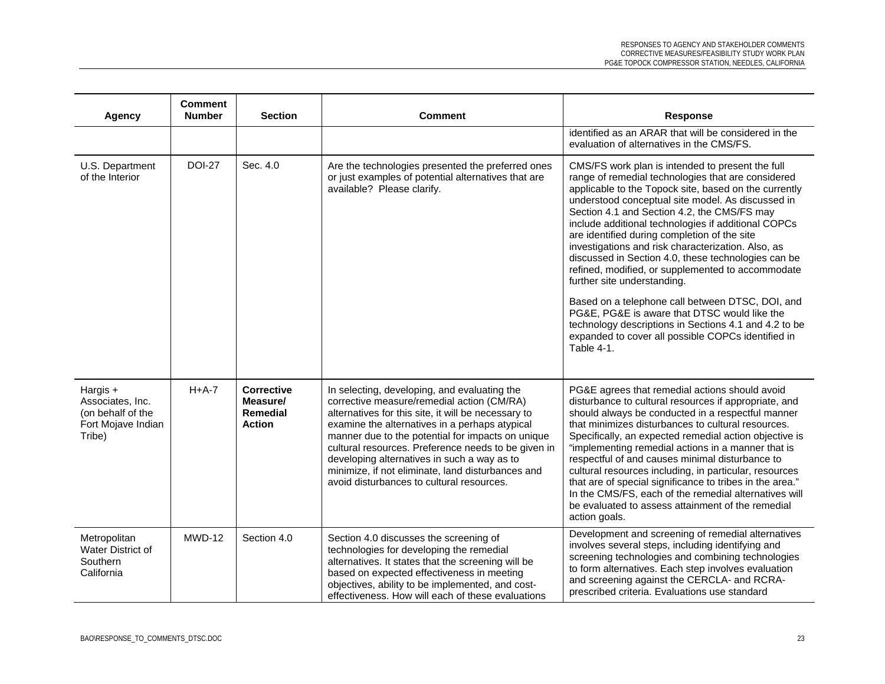| <b>Agency</b>                                                                     | <b>Comment</b><br><b>Number</b> | <b>Section</b>                                             | <b>Comment</b>                                                                                                                                                                                                                                                                                                                                                                                                                                                   | <b>Response</b>                                                                                                                                                                                                                                                                                                                                                                                                                                                                                                                                                                                                                                                                                                                                                                                              |
|-----------------------------------------------------------------------------------|---------------------------------|------------------------------------------------------------|------------------------------------------------------------------------------------------------------------------------------------------------------------------------------------------------------------------------------------------------------------------------------------------------------------------------------------------------------------------------------------------------------------------------------------------------------------------|--------------------------------------------------------------------------------------------------------------------------------------------------------------------------------------------------------------------------------------------------------------------------------------------------------------------------------------------------------------------------------------------------------------------------------------------------------------------------------------------------------------------------------------------------------------------------------------------------------------------------------------------------------------------------------------------------------------------------------------------------------------------------------------------------------------|
|                                                                                   |                                 |                                                            |                                                                                                                                                                                                                                                                                                                                                                                                                                                                  | identified as an ARAR that will be considered in the<br>evaluation of alternatives in the CMS/FS.                                                                                                                                                                                                                                                                                                                                                                                                                                                                                                                                                                                                                                                                                                            |
| U.S. Department<br>of the Interior                                                | <b>DOI-27</b>                   | Sec. 4.0                                                   | Are the technologies presented the preferred ones<br>or just examples of potential alternatives that are<br>available? Please clarify.                                                                                                                                                                                                                                                                                                                           | CMS/FS work plan is intended to present the full<br>range of remedial technologies that are considered<br>applicable to the Topock site, based on the currently<br>understood conceptual site model. As discussed in<br>Section 4.1 and Section 4.2, the CMS/FS may<br>include additional technologies if additional COPCs<br>are identified during completion of the site<br>investigations and risk characterization. Also, as<br>discussed in Section 4.0, these technologies can be<br>refined, modified, or supplemented to accommodate<br>further site understanding.<br>Based on a telephone call between DTSC, DOI, and<br>PG&E, PG&E is aware that DTSC would like the<br>technology descriptions in Sections 4.1 and 4.2 to be<br>expanded to cover all possible COPCs identified in<br>Table 4-1. |
| Hargis +<br>Associates, Inc.<br>(on behalf of the<br>Fort Mojave Indian<br>Tribe) | $H+A-7$                         | <b>Corrective</b><br>Measure/<br>Remedial<br><b>Action</b> | In selecting, developing, and evaluating the<br>corrective measure/remedial action (CM/RA)<br>alternatives for this site, it will be necessary to<br>examine the alternatives in a perhaps atypical<br>manner due to the potential for impacts on unique<br>cultural resources. Preference needs to be given in<br>developing alternatives in such a way as to<br>minimize, if not eliminate, land disturbances and<br>avoid disturbances to cultural resources. | PG&E agrees that remedial actions should avoid<br>disturbance to cultural resources if appropriate, and<br>should always be conducted in a respectful manner<br>that minimizes disturbances to cultural resources.<br>Specifically, an expected remedial action objective is<br>"implementing remedial actions in a manner that is<br>respectful of and causes minimal disturbance to<br>cultural resources including, in particular, resources<br>that are of special significance to tribes in the area."<br>In the CMS/FS, each of the remedial alternatives will<br>be evaluated to assess attainment of the remedial<br>action goals.                                                                                                                                                                   |
| Metropolitan<br>Water District of<br>Southern<br>California                       | $MWD-12$                        | Section 4.0                                                | Section 4.0 discusses the screening of<br>technologies for developing the remedial<br>alternatives. It states that the screening will be<br>based on expected effectiveness in meeting<br>objectives, ability to be implemented, and cost-<br>effectiveness. How will each of these evaluations                                                                                                                                                                  | Development and screening of remedial alternatives<br>involves several steps, including identifying and<br>screening technologies and combining technologies<br>to form alternatives. Each step involves evaluation<br>and screening against the CERCLA- and RCRA-<br>prescribed criteria. Evaluations use standard                                                                                                                                                                                                                                                                                                                                                                                                                                                                                          |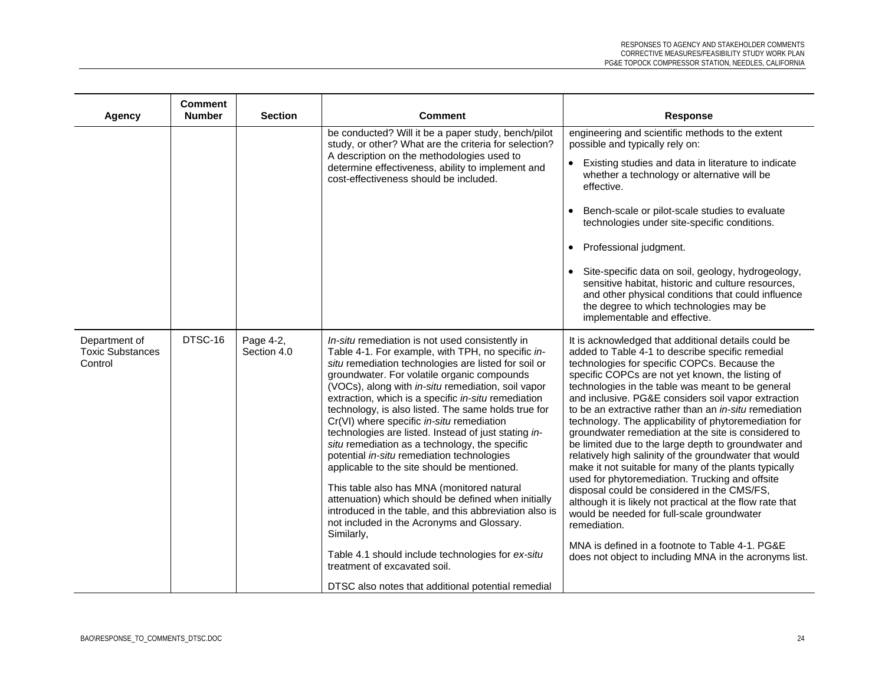| Agency                                              | <b>Comment</b><br><b>Number</b> | <b>Section</b>           | <b>Comment</b>                                                                                                                                                                                                                                                                                                                                                                                                                                                                                                                                                                                                                                                                                                                                                                                                                                                                                                                                                                                            | <b>Response</b>                                                                                                                                                                                                                                                                                                                                                                                                                                                                                                                                                                                                                                                                                                                                                                                                                                                                                                                                                                                                         |
|-----------------------------------------------------|---------------------------------|--------------------------|-----------------------------------------------------------------------------------------------------------------------------------------------------------------------------------------------------------------------------------------------------------------------------------------------------------------------------------------------------------------------------------------------------------------------------------------------------------------------------------------------------------------------------------------------------------------------------------------------------------------------------------------------------------------------------------------------------------------------------------------------------------------------------------------------------------------------------------------------------------------------------------------------------------------------------------------------------------------------------------------------------------|-------------------------------------------------------------------------------------------------------------------------------------------------------------------------------------------------------------------------------------------------------------------------------------------------------------------------------------------------------------------------------------------------------------------------------------------------------------------------------------------------------------------------------------------------------------------------------------------------------------------------------------------------------------------------------------------------------------------------------------------------------------------------------------------------------------------------------------------------------------------------------------------------------------------------------------------------------------------------------------------------------------------------|
|                                                     |                                 |                          | be conducted? Will it be a paper study, bench/pilot<br>study, or other? What are the criteria for selection?<br>A description on the methodologies used to<br>determine effectiveness, ability to implement and<br>cost-effectiveness should be included.                                                                                                                                                                                                                                                                                                                                                                                                                                                                                                                                                                                                                                                                                                                                                 | engineering and scientific methods to the extent<br>possible and typically rely on:<br>• Existing studies and data in literature to indicate<br>whether a technology or alternative will be<br>effective.<br>Bench-scale or pilot-scale studies to evaluate<br>technologies under site-specific conditions.<br>• Professional judgment.<br>· Site-specific data on soil, geology, hydrogeology,<br>sensitive habitat, historic and culture resources,<br>and other physical conditions that could influence<br>the degree to which technologies may be<br>implementable and effective.                                                                                                                                                                                                                                                                                                                                                                                                                                  |
| Department of<br><b>Toxic Substances</b><br>Control | DTSC-16                         | Page 4-2,<br>Section 4.0 | In-situ remediation is not used consistently in<br>Table 4-1. For example, with TPH, no specific in-<br>situ remediation technologies are listed for soil or<br>groundwater. For volatile organic compounds<br>(VOCs), along with in-situ remediation, soil vapor<br>extraction, which is a specific in-situ remediation<br>technology, is also listed. The same holds true for<br>Cr(VI) where specific in-situ remediation<br>technologies are listed. Instead of just stating in-<br>situ remediation as a technology, the specific<br>potential in-situ remediation technologies<br>applicable to the site should be mentioned.<br>This table also has MNA (monitored natural<br>attenuation) which should be defined when initially<br>introduced in the table, and this abbreviation also is<br>not included in the Acronyms and Glossary.<br>Similarly,<br>Table 4.1 should include technologies for ex-situ<br>treatment of excavated soil.<br>DTSC also notes that additional potential remedial | It is acknowledged that additional details could be<br>added to Table 4-1 to describe specific remedial<br>technologies for specific COPCs. Because the<br>specific COPCs are not yet known, the listing of<br>technologies in the table was meant to be general<br>and inclusive. PG&E considers soil vapor extraction<br>to be an extractive rather than an in-situ remediation<br>technology. The applicability of phytoremediation for<br>groundwater remediation at the site is considered to<br>be limited due to the large depth to groundwater and<br>relatively high salinity of the groundwater that would<br>make it not suitable for many of the plants typically<br>used for phytoremediation. Trucking and offsite<br>disposal could be considered in the CMS/FS,<br>although it is likely not practical at the flow rate that<br>would be needed for full-scale groundwater<br>remediation.<br>MNA is defined in a footnote to Table 4-1, PG&E<br>does not object to including MNA in the acronyms list. |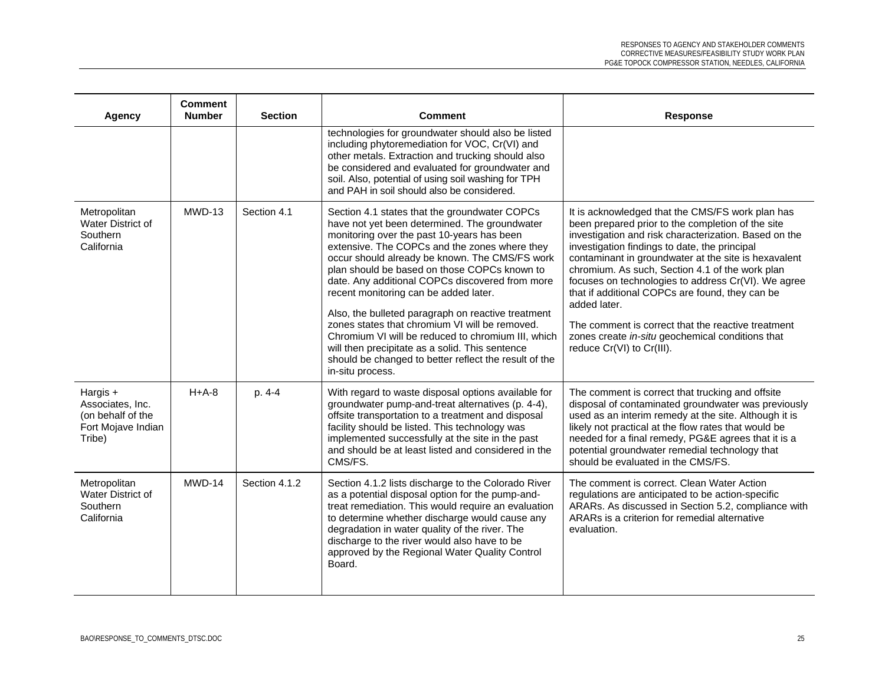| Agency                                                                              | Comment<br><b>Number</b> | <b>Section</b> | <b>Comment</b>                                                                                                                                                                                                                                                                                                                                                                                                                                                                                                                                                                                                                                                                            | <b>Response</b>                                                                                                                                                                                                                                                                                                                                                                                                                                                                                                                                                                             |
|-------------------------------------------------------------------------------------|--------------------------|----------------|-------------------------------------------------------------------------------------------------------------------------------------------------------------------------------------------------------------------------------------------------------------------------------------------------------------------------------------------------------------------------------------------------------------------------------------------------------------------------------------------------------------------------------------------------------------------------------------------------------------------------------------------------------------------------------------------|---------------------------------------------------------------------------------------------------------------------------------------------------------------------------------------------------------------------------------------------------------------------------------------------------------------------------------------------------------------------------------------------------------------------------------------------------------------------------------------------------------------------------------------------------------------------------------------------|
|                                                                                     |                          |                | technologies for groundwater should also be listed<br>including phytoremediation for VOC, Cr(VI) and<br>other metals. Extraction and trucking should also<br>be considered and evaluated for groundwater and<br>soil. Also, potential of using soil washing for TPH<br>and PAH in soil should also be considered.                                                                                                                                                                                                                                                                                                                                                                         |                                                                                                                                                                                                                                                                                                                                                                                                                                                                                                                                                                                             |
| Metropolitan<br>Water District of<br>Southern<br>California                         | $MWD-13$                 | Section 4.1    | Section 4.1 states that the groundwater COPCs<br>have not yet been determined. The groundwater<br>monitoring over the past 10-years has been<br>extensive. The COPCs and the zones where they<br>occur should already be known. The CMS/FS work<br>plan should be based on those COPCs known to<br>date. Any additional COPCs discovered from more<br>recent monitoring can be added later.<br>Also, the bulleted paragraph on reactive treatment<br>zones states that chromium VI will be removed.<br>Chromium VI will be reduced to chromium III, which<br>will then precipitate as a solid. This sentence<br>should be changed to better reflect the result of the<br>in-situ process. | It is acknowledged that the CMS/FS work plan has<br>been prepared prior to the completion of the site<br>investigation and risk characterization. Based on the<br>investigation findings to date, the principal<br>contaminant in groundwater at the site is hexavalent<br>chromium. As such, Section 4.1 of the work plan<br>focuses on technologies to address Cr(VI). We agree<br>that if additional COPCs are found, they can be<br>added later.<br>The comment is correct that the reactive treatment<br>zones create in-situ geochemical conditions that<br>reduce Cr(VI) to Cr(III). |
| Hargis $+$<br>Associates, Inc.<br>(on behalf of the<br>Fort Mojave Indian<br>Tribe) | $H+A-8$                  | p. 4-4         | With regard to waste disposal options available for<br>groundwater pump-and-treat alternatives (p. 4-4),<br>offsite transportation to a treatment and disposal<br>facility should be listed. This technology was<br>implemented successfully at the site in the past<br>and should be at least listed and considered in the<br>CMS/FS.                                                                                                                                                                                                                                                                                                                                                    | The comment is correct that trucking and offsite<br>disposal of contaminated groundwater was previously<br>used as an interim remedy at the site. Although it is<br>likely not practical at the flow rates that would be<br>needed for a final remedy, PG&E agrees that it is a<br>potential groundwater remedial technology that<br>should be evaluated in the CMS/FS.                                                                                                                                                                                                                     |
| Metropolitan<br>Water District of<br>Southern<br>California                         | $MWD-14$                 | Section 4.1.2  | Section 4.1.2 lists discharge to the Colorado River<br>as a potential disposal option for the pump-and-<br>treat remediation. This would require an evaluation<br>to determine whether discharge would cause any<br>degradation in water quality of the river. The<br>discharge to the river would also have to be<br>approved by the Regional Water Quality Control<br>Board.                                                                                                                                                                                                                                                                                                            | The comment is correct. Clean Water Action<br>regulations are anticipated to be action-specific<br>ARARs. As discussed in Section 5.2, compliance with<br>ARARs is a criterion for remedial alternative<br>evaluation.                                                                                                                                                                                                                                                                                                                                                                      |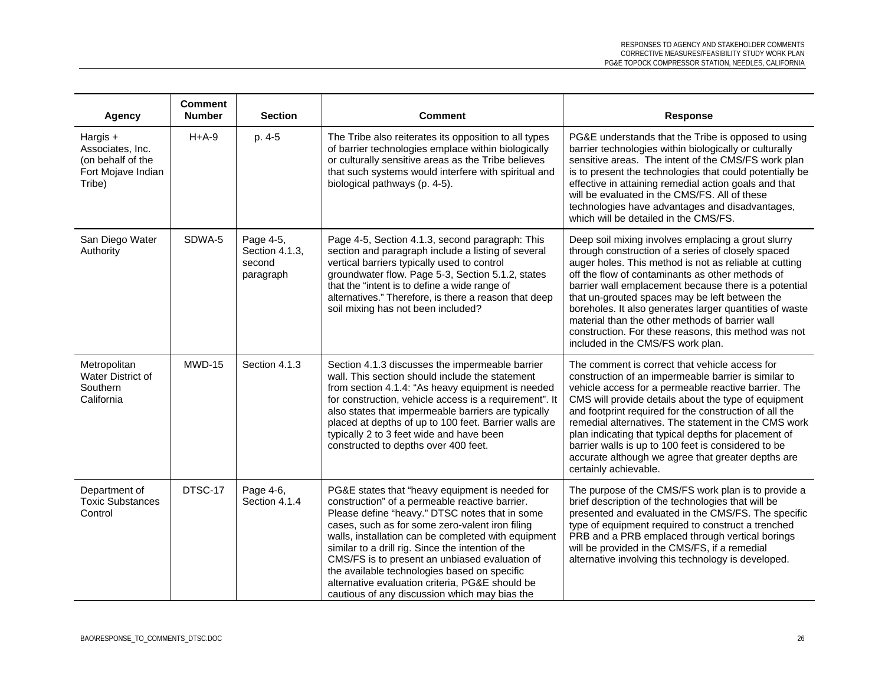| <b>Agency</b>                                                                     | <b>Comment</b><br><b>Number</b> | <b>Section</b>                                     | <b>Comment</b>                                                                                                                                                                                                                                                                                                                                                                                                                                                                                                            | <b>Response</b>                                                                                                                                                                                                                                                                                                                                                                                                                                                                                                                              |
|-----------------------------------------------------------------------------------|---------------------------------|----------------------------------------------------|---------------------------------------------------------------------------------------------------------------------------------------------------------------------------------------------------------------------------------------------------------------------------------------------------------------------------------------------------------------------------------------------------------------------------------------------------------------------------------------------------------------------------|----------------------------------------------------------------------------------------------------------------------------------------------------------------------------------------------------------------------------------------------------------------------------------------------------------------------------------------------------------------------------------------------------------------------------------------------------------------------------------------------------------------------------------------------|
| Hargis +<br>Associates, Inc.<br>(on behalf of the<br>Fort Mojave Indian<br>Tribe) | $H+A-9$                         | p. 4-5                                             | The Tribe also reiterates its opposition to all types<br>of barrier technologies emplace within biologically<br>or culturally sensitive areas as the Tribe believes<br>that such systems would interfere with spiritual and<br>biological pathways (p. 4-5).                                                                                                                                                                                                                                                              | PG&E understands that the Tribe is opposed to using<br>barrier technologies within biologically or culturally<br>sensitive areas. The intent of the CMS/FS work plan<br>is to present the technologies that could potentially be<br>effective in attaining remedial action goals and that<br>will be evaluated in the CMS/FS. All of these<br>technologies have advantages and disadvantages,<br>which will be detailed in the CMS/FS.                                                                                                       |
| San Diego Water<br>Authority                                                      | SDWA-5                          | Page 4-5,<br>Section 4.1.3,<br>second<br>paragraph | Page 4-5, Section 4.1.3, second paragraph: This<br>section and paragraph include a listing of several<br>vertical barriers typically used to control<br>groundwater flow. Page 5-3, Section 5.1.2, states<br>that the "intent is to define a wide range of<br>alternatives." Therefore, is there a reason that deep<br>soil mixing has not been included?                                                                                                                                                                 | Deep soil mixing involves emplacing a grout slurry<br>through construction of a series of closely spaced<br>auger holes. This method is not as reliable at cutting<br>off the flow of contaminants as other methods of<br>barrier wall emplacement because there is a potential<br>that un-grouted spaces may be left between the<br>boreholes. It also generates larger quantities of waste<br>material than the other methods of barrier wall<br>construction. For these reasons, this method was not<br>included in the CMS/FS work plan. |
| Metropolitan<br>Water District of<br>Southern<br>California                       | MWD-15                          | Section 4.1.3                                      | Section 4.1.3 discusses the impermeable barrier<br>wall. This section should include the statement<br>from section 4.1.4: "As heavy equipment is needed<br>for construction, vehicle access is a requirement". It<br>also states that impermeable barriers are typically<br>placed at depths of up to 100 feet. Barrier walls are<br>typically 2 to 3 feet wide and have been<br>constructed to depths over 400 feet.                                                                                                     | The comment is correct that vehicle access for<br>construction of an impermeable barrier is similar to<br>vehicle access for a permeable reactive barrier. The<br>CMS will provide details about the type of equipment<br>and footprint required for the construction of all the<br>remedial alternatives. The statement in the CMS work<br>plan indicating that typical depths for placement of<br>barrier walls is up to 100 feet is considered to be<br>accurate although we agree that greater depths are<br>certainly achievable.       |
| Department of<br><b>Toxic Substances</b><br>Control                               | DTSC-17                         | Page 4-6,<br>Section 4.1.4                         | PG&E states that "heavy equipment is needed for<br>construction" of a permeable reactive barrier.<br>Please define "heavy." DTSC notes that in some<br>cases, such as for some zero-valent iron filing<br>walls, installation can be completed with equipment<br>similar to a drill rig. Since the intention of the<br>CMS/FS is to present an unbiased evaluation of<br>the available technologies based on specific<br>alternative evaluation criteria, PG&E should be<br>cautious of any discussion which may bias the | The purpose of the CMS/FS work plan is to provide a<br>brief description of the technologies that will be<br>presented and evaluated in the CMS/FS. The specific<br>type of equipment required to construct a trenched<br>PRB and a PRB emplaced through vertical borings<br>will be provided in the CMS/FS, if a remedial<br>alternative involving this technology is developed.                                                                                                                                                            |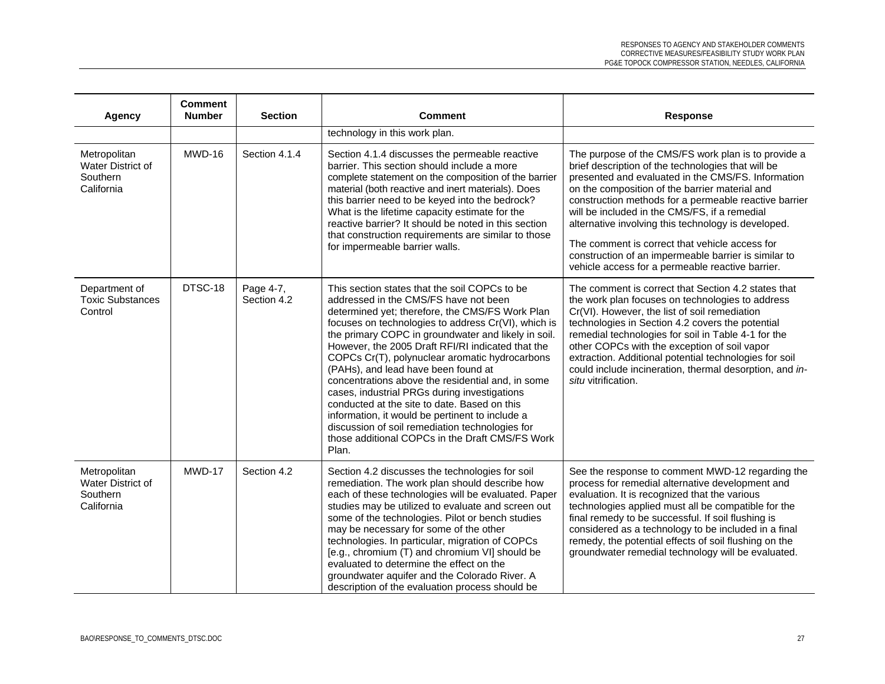| Agency                                                             | <b>Comment</b><br><b>Number</b> | <b>Section</b>           | <b>Comment</b>                                                                                                                                                                                                                                                                                                                                                                                                                                                                                                                                                                                                                                                                                                               | <b>Response</b>                                                                                                                                                                                                                                                                                                                                                                                                                                                                                                                                  |
|--------------------------------------------------------------------|---------------------------------|--------------------------|------------------------------------------------------------------------------------------------------------------------------------------------------------------------------------------------------------------------------------------------------------------------------------------------------------------------------------------------------------------------------------------------------------------------------------------------------------------------------------------------------------------------------------------------------------------------------------------------------------------------------------------------------------------------------------------------------------------------------|--------------------------------------------------------------------------------------------------------------------------------------------------------------------------------------------------------------------------------------------------------------------------------------------------------------------------------------------------------------------------------------------------------------------------------------------------------------------------------------------------------------------------------------------------|
|                                                                    |                                 |                          | technology in this work plan.                                                                                                                                                                                                                                                                                                                                                                                                                                                                                                                                                                                                                                                                                                |                                                                                                                                                                                                                                                                                                                                                                                                                                                                                                                                                  |
| Metropolitan<br>Water District of<br>Southern<br>California        | MWD-16                          | Section 4.1.4            | Section 4.1.4 discusses the permeable reactive<br>barrier. This section should include a more<br>complete statement on the composition of the barrier<br>material (both reactive and inert materials). Does<br>this barrier need to be keyed into the bedrock?<br>What is the lifetime capacity estimate for the<br>reactive barrier? It should be noted in this section<br>that construction requirements are similar to those<br>for impermeable barrier walls.                                                                                                                                                                                                                                                            | The purpose of the CMS/FS work plan is to provide a<br>brief description of the technologies that will be<br>presented and evaluated in the CMS/FS. Information<br>on the composition of the barrier material and<br>construction methods for a permeable reactive barrier<br>will be included in the CMS/FS, if a remedial<br>alternative involving this technology is developed.<br>The comment is correct that vehicle access for<br>construction of an impermeable barrier is similar to<br>vehicle access for a permeable reactive barrier. |
| Department of<br><b>Toxic Substances</b><br>Control                | DTSC-18                         | Page 4-7,<br>Section 4.2 | This section states that the soil COPCs to be<br>addressed in the CMS/FS have not been<br>determined yet; therefore, the CMS/FS Work Plan<br>focuses on technologies to address Cr(VI), which is<br>the primary COPC in groundwater and likely in soil.<br>However, the 2005 Draft RFI/RI indicated that the<br>COPCs Cr(T), polynuclear aromatic hydrocarbons<br>(PAHs), and lead have been found at<br>concentrations above the residential and, in some<br>cases, industrial PRGs during investigations<br>conducted at the site to date. Based on this<br>information, it would be pertinent to include a<br>discussion of soil remediation technologies for<br>those additional COPCs in the Draft CMS/FS Work<br>Plan. | The comment is correct that Section 4.2 states that<br>the work plan focuses on technologies to address<br>Cr(VI). However, the list of soil remediation<br>technologies in Section 4.2 covers the potential<br>remedial technologies for soil in Table 4-1 for the<br>other COPCs with the exception of soil vapor<br>extraction. Additional potential technologies for soil<br>could include incineration, thermal desorption, and in-<br>situ vitrification.                                                                                  |
| Metropolitan<br><b>Water District of</b><br>Southern<br>California | MWD-17                          | Section 4.2              | Section 4.2 discusses the technologies for soil<br>remediation. The work plan should describe how<br>each of these technologies will be evaluated. Paper<br>studies may be utilized to evaluate and screen out<br>some of the technologies. Pilot or bench studies<br>may be necessary for some of the other<br>technologies. In particular, migration of COPCs<br>[e.g., chromium (T) and chromium VI] should be<br>evaluated to determine the effect on the<br>groundwater aquifer and the Colorado River. A<br>description of the evaluation process should be                                                                                                                                                            | See the response to comment MWD-12 regarding the<br>process for remedial alternative development and<br>evaluation. It is recognized that the various<br>technologies applied must all be compatible for the<br>final remedy to be successful. If soil flushing is<br>considered as a technology to be included in a final<br>remedy, the potential effects of soil flushing on the<br>groundwater remedial technology will be evaluated.                                                                                                        |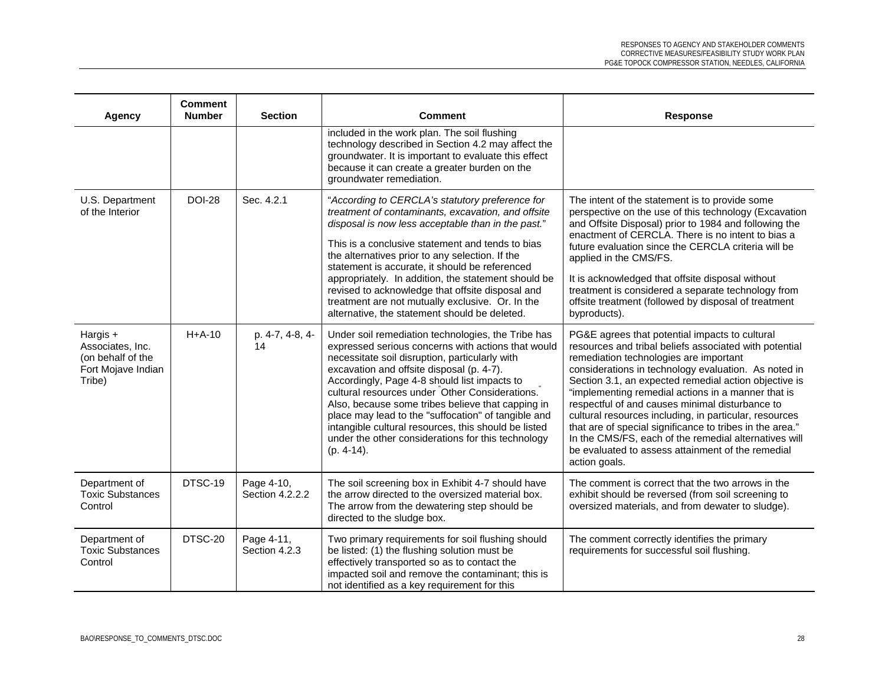| Agency                                                                              | <b>Comment</b><br><b>Number</b> | <b>Section</b>                | <b>Comment</b>                                                                                                                                                                                                                                                                                                                                                                                                                                                                                                                                      | <b>Response</b>                                                                                                                                                                                                                                                                                                                                                                                                                                                                                                                                                                                                                   |
|-------------------------------------------------------------------------------------|---------------------------------|-------------------------------|-----------------------------------------------------------------------------------------------------------------------------------------------------------------------------------------------------------------------------------------------------------------------------------------------------------------------------------------------------------------------------------------------------------------------------------------------------------------------------------------------------------------------------------------------------|-----------------------------------------------------------------------------------------------------------------------------------------------------------------------------------------------------------------------------------------------------------------------------------------------------------------------------------------------------------------------------------------------------------------------------------------------------------------------------------------------------------------------------------------------------------------------------------------------------------------------------------|
|                                                                                     |                                 |                               | included in the work plan. The soil flushing<br>technology described in Section 4.2 may affect the<br>groundwater. It is important to evaluate this effect<br>because it can create a greater burden on the<br>groundwater remediation.                                                                                                                                                                                                                                                                                                             |                                                                                                                                                                                                                                                                                                                                                                                                                                                                                                                                                                                                                                   |
| U.S. Department<br>of the Interior                                                  | <b>DOI-28</b>                   | Sec. 4.2.1                    | "According to CERCLA's statutory preference for<br>treatment of contaminants, excavation, and offsite<br>disposal is now less acceptable than in the past."<br>This is a conclusive statement and tends to bias<br>the alternatives prior to any selection. If the<br>statement is accurate, it should be referenced<br>appropriately. In addition, the statement should be<br>revised to acknowledge that offsite disposal and<br>treatment are not mutually exclusive. Or. In the<br>alternative, the statement should be deleted.                | The intent of the statement is to provide some<br>perspective on the use of this technology (Excavation<br>and Offsite Disposal) prior to 1984 and following the<br>enactment of CERCLA. There is no intent to bias a<br>future evaluation since the CERCLA criteria will be<br>applied in the CMS/FS.<br>It is acknowledged that offsite disposal without<br>treatment is considered a separate technology from<br>offsite treatment (followed by disposal of treatment<br>byproducts).                                                                                                                                          |
| Hargis $+$<br>Associates, Inc.<br>(on behalf of the<br>Fort Mojave Indian<br>Tribe) | $H+A-10$                        | p. 4-7, 4-8, 4-<br>14         | Under soil remediation technologies, the Tribe has<br>expressed serious concerns with actions that would<br>necessitate soil disruption, particularly with<br>excavation and offsite disposal (p. 4-7).<br>Accordingly, Page 4-8 should list impacts to<br>cultural resources under Other Considerations.<br>Also, because some tribes believe that capping in<br>place may lead to the "suffocation" of tangible and<br>intangible cultural resources, this should be listed<br>under the other considerations for this technology<br>$(p. 4-14).$ | PG&E agrees that potential impacts to cultural<br>resources and tribal beliefs associated with potential<br>remediation technologies are important<br>considerations in technology evaluation. As noted in<br>Section 3.1, an expected remedial action objective is<br>"implementing remedial actions in a manner that is<br>respectful of and causes minimal disturbance to<br>cultural resources including, in particular, resources<br>that are of special significance to tribes in the area."<br>In the CMS/FS, each of the remedial alternatives will<br>be evaluated to assess attainment of the remedial<br>action goals. |
| Department of<br><b>Toxic Substances</b><br>Control                                 | DTSC-19                         | Page 4-10,<br>Section 4.2.2.2 | The soil screening box in Exhibit 4-7 should have<br>the arrow directed to the oversized material box.<br>The arrow from the dewatering step should be<br>directed to the sludge box.                                                                                                                                                                                                                                                                                                                                                               | The comment is correct that the two arrows in the<br>exhibit should be reversed (from soil screening to<br>oversized materials, and from dewater to sludge).                                                                                                                                                                                                                                                                                                                                                                                                                                                                      |
| Department of<br><b>Toxic Substances</b><br>Control                                 | DTSC-20                         | Page 4-11,<br>Section 4.2.3   | Two primary requirements for soil flushing should<br>be listed: (1) the flushing solution must be<br>effectively transported so as to contact the<br>impacted soil and remove the contaminant; this is<br>not identified as a key requirement for this                                                                                                                                                                                                                                                                                              | The comment correctly identifies the primary<br>requirements for successful soil flushing.                                                                                                                                                                                                                                                                                                                                                                                                                                                                                                                                        |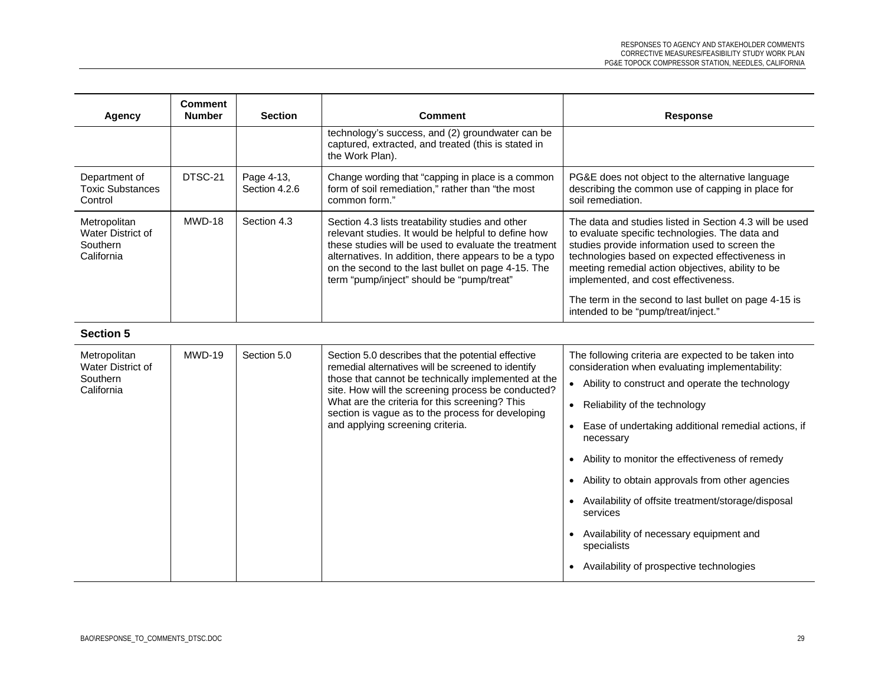| Agency                                                      | <b>Comment</b><br><b>Number</b> | <b>Section</b>              | <b>Comment</b>                                                                                                                                                                                                                                                                                                                                                   | <b>Response</b>                                                                                                                                                                                                                                                                                              |
|-------------------------------------------------------------|---------------------------------|-----------------------------|------------------------------------------------------------------------------------------------------------------------------------------------------------------------------------------------------------------------------------------------------------------------------------------------------------------------------------------------------------------|--------------------------------------------------------------------------------------------------------------------------------------------------------------------------------------------------------------------------------------------------------------------------------------------------------------|
|                                                             |                                 |                             | technology's success, and (2) groundwater can be<br>captured, extracted, and treated (this is stated in<br>the Work Plan).                                                                                                                                                                                                                                       |                                                                                                                                                                                                                                                                                                              |
| Department of<br><b>Toxic Substances</b><br>Control         | DTSC-21                         | Page 4-13,<br>Section 4.2.6 | Change wording that "capping in place is a common<br>form of soil remediation," rather than "the most<br>common form."                                                                                                                                                                                                                                           | PG&E does not object to the alternative language<br>describing the common use of capping in place for<br>soil remediation.                                                                                                                                                                                   |
| Metropolitan<br>Water District of<br>Southern<br>California | MWD-18                          | Section 4.3                 | Section 4.3 lists treatability studies and other<br>relevant studies. It would be helpful to define how<br>these studies will be used to evaluate the treatment<br>alternatives. In addition, there appears to be a typo<br>on the second to the last bullet on page 4-15. The<br>term "pump/inject" should be "pump/treat"                                      | The data and studies listed in Section 4.3 will be used<br>to evaluate specific technologies. The data and<br>studies provide information used to screen the<br>technologies based on expected effectiveness in<br>meeting remedial action objectives, ability to be<br>implemented, and cost effectiveness. |
|                                                             |                                 |                             |                                                                                                                                                                                                                                                                                                                                                                  | The term in the second to last bullet on page 4-15 is<br>intended to be "pump/treat/inject."                                                                                                                                                                                                                 |
| <b>Section 5</b>                                            |                                 |                             |                                                                                                                                                                                                                                                                                                                                                                  |                                                                                                                                                                                                                                                                                                              |
| Metropolitan<br>Water District of                           | MWD-19                          | Section 5.0                 | Section 5.0 describes that the potential effective<br>remedial alternatives will be screened to identify<br>those that cannot be technically implemented at the<br>site. How will the screening process be conducted?<br>What are the criteria for this screening? This<br>section is vague as to the process for developing<br>and applying screening criteria. | The following criteria are expected to be taken into<br>consideration when evaluating implementability:                                                                                                                                                                                                      |
| Southern<br>California                                      |                                 |                             |                                                                                                                                                                                                                                                                                                                                                                  | • Ability to construct and operate the technology                                                                                                                                                                                                                                                            |
|                                                             |                                 |                             |                                                                                                                                                                                                                                                                                                                                                                  | Reliability of the technology<br>$\bullet$                                                                                                                                                                                                                                                                   |
|                                                             |                                 |                             |                                                                                                                                                                                                                                                                                                                                                                  | Ease of undertaking additional remedial actions, if<br>$\bullet$<br>necessary                                                                                                                                                                                                                                |
|                                                             |                                 |                             |                                                                                                                                                                                                                                                                                                                                                                  | Ability to monitor the effectiveness of remedy<br>$\bullet$                                                                                                                                                                                                                                                  |
|                                                             |                                 |                             |                                                                                                                                                                                                                                                                                                                                                                  | Ability to obtain approvals from other agencies                                                                                                                                                                                                                                                              |
|                                                             |                                 |                             |                                                                                                                                                                                                                                                                                                                                                                  | Availability of offsite treatment/storage/disposal<br>services                                                                                                                                                                                                                                               |
|                                                             |                                 |                             |                                                                                                                                                                                                                                                                                                                                                                  | Availability of necessary equipment and<br>specialists                                                                                                                                                                                                                                                       |
|                                                             |                                 |                             |                                                                                                                                                                                                                                                                                                                                                                  | Availability of prospective technologies                                                                                                                                                                                                                                                                     |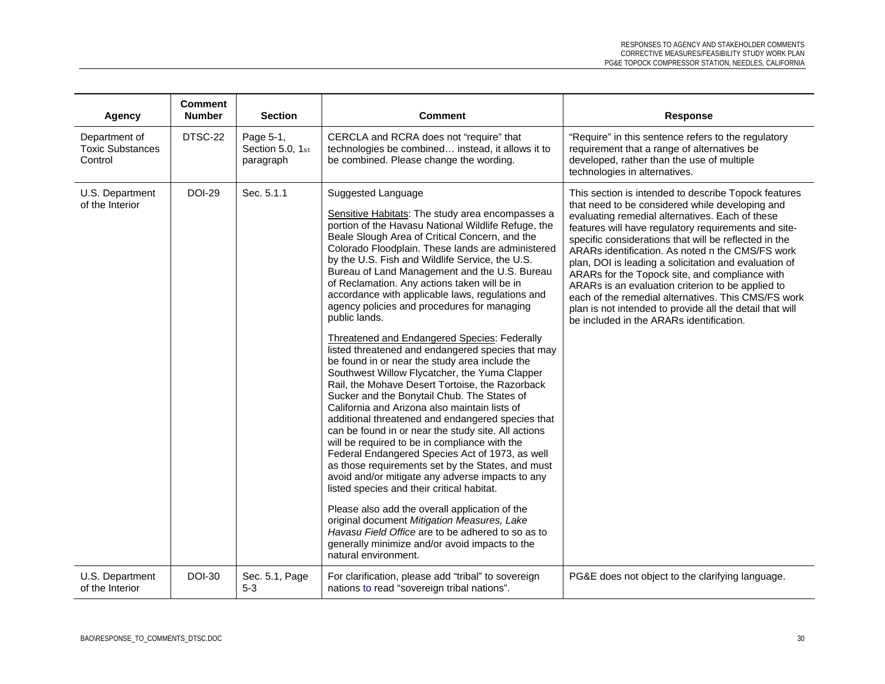| Agency                                              | <b>Comment</b><br><b>Number</b> | <b>Section</b>                             | <b>Comment</b>                                                                                                                                                                                                                                                                                                                                                                                                                                                                                                                                                                                                                                                                                                                                                                                                                                                                                                                                                                                                                                                                                                                                                                                                                                                                                                                                                                                                                                                                 | Response                                                                                                                                                                                                                                                                                                                                                                                                                                                                                                                                                                                                                                                       |
|-----------------------------------------------------|---------------------------------|--------------------------------------------|--------------------------------------------------------------------------------------------------------------------------------------------------------------------------------------------------------------------------------------------------------------------------------------------------------------------------------------------------------------------------------------------------------------------------------------------------------------------------------------------------------------------------------------------------------------------------------------------------------------------------------------------------------------------------------------------------------------------------------------------------------------------------------------------------------------------------------------------------------------------------------------------------------------------------------------------------------------------------------------------------------------------------------------------------------------------------------------------------------------------------------------------------------------------------------------------------------------------------------------------------------------------------------------------------------------------------------------------------------------------------------------------------------------------------------------------------------------------------------|----------------------------------------------------------------------------------------------------------------------------------------------------------------------------------------------------------------------------------------------------------------------------------------------------------------------------------------------------------------------------------------------------------------------------------------------------------------------------------------------------------------------------------------------------------------------------------------------------------------------------------------------------------------|
| Department of<br><b>Toxic Substances</b><br>Control | DTSC-22                         | Page 5-1,<br>Section 5.0, 1st<br>paragraph | CERCLA and RCRA does not "require" that<br>technologies be combined instead, it allows it to<br>be combined. Please change the wording.                                                                                                                                                                                                                                                                                                                                                                                                                                                                                                                                                                                                                                                                                                                                                                                                                                                                                                                                                                                                                                                                                                                                                                                                                                                                                                                                        | "Require" in this sentence refers to the regulatory<br>requirement that a range of alternatives be<br>developed, rather than the use of multiple<br>technologies in alternatives.                                                                                                                                                                                                                                                                                                                                                                                                                                                                              |
| U.S. Department<br>of the Interior                  | <b>DOI-29</b>                   | Sec. 5.1.1                                 | Suggested Language<br>Sensitive Habitats: The study area encompasses a<br>portion of the Havasu National Wildlife Refuge, the<br>Beale Slough Area of Critical Concern, and the<br>Colorado Floodplain. These lands are administered<br>by the U.S. Fish and Wildlife Service, the U.S.<br>Bureau of Land Management and the U.S. Bureau<br>of Reclamation. Any actions taken will be in<br>accordance with applicable laws, regulations and<br>agency policies and procedures for managing<br>public lands.<br>Threatened and Endangered Species: Federally<br>listed threatened and endangered species that may<br>be found in or near the study area include the<br>Southwest Willow Flycatcher, the Yuma Clapper<br>Rail, the Mohave Desert Tortoise, the Razorback<br>Sucker and the Bonytail Chub. The States of<br>California and Arizona also maintain lists of<br>additional threatened and endangered species that<br>can be found in or near the study site. All actions<br>will be required to be in compliance with the<br>Federal Endangered Species Act of 1973, as well<br>as those requirements set by the States, and must<br>avoid and/or mitigate any adverse impacts to any<br>listed species and their critical habitat.<br>Please also add the overall application of the<br>original document Mitigation Measures, Lake<br>Havasu Field Office are to be adhered to so as to<br>generally minimize and/or avoid impacts to the<br>natural environment. | This section is intended to describe Topock features<br>that need to be considered while developing and<br>evaluating remedial alternatives. Each of these<br>features will have regulatory requirements and site-<br>specific considerations that will be reflected in the<br>ARARs identification. As noted n the CMS/FS work<br>plan, DOI is leading a solicitation and evaluation of<br>ARARs for the Topock site, and compliance with<br>ARARs is an evaluation criterion to be applied to<br>each of the remedial alternatives. This CMS/FS work<br>plan is not intended to provide all the detail that will<br>be included in the ARARs identification. |
| U.S. Department<br>of the Interior                  | <b>DOI-30</b>                   | Sec. 5.1, Page<br>$5-3$                    | For clarification, please add "tribal" to sovereign<br>nations to read "sovereign tribal nations".                                                                                                                                                                                                                                                                                                                                                                                                                                                                                                                                                                                                                                                                                                                                                                                                                                                                                                                                                                                                                                                                                                                                                                                                                                                                                                                                                                             | PG&E does not object to the clarifying language.                                                                                                                                                                                                                                                                                                                                                                                                                                                                                                                                                                                                               |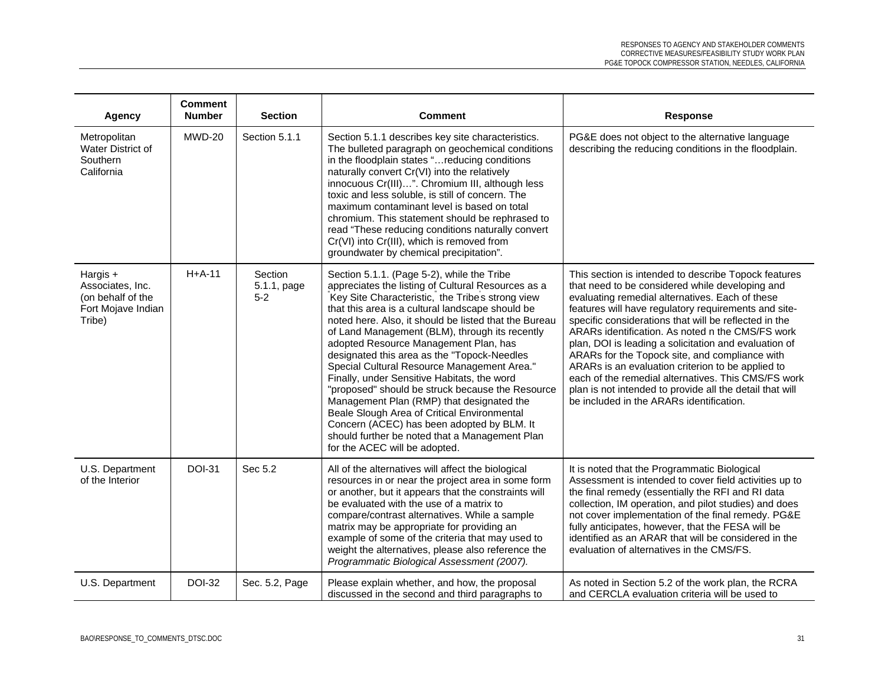| Agency                                                                              | <b>Comment</b><br><b>Number</b> | <b>Section</b>                  | <b>Comment</b>                                                                                                                                                                                                                                                                                                                                                                                                                                                                                                                                                                                                                                                                                                                                                                             | <b>Response</b>                                                                                                                                                                                                                                                                                                                                                                                                                                                                                                                                                                                                                                                |
|-------------------------------------------------------------------------------------|---------------------------------|---------------------------------|--------------------------------------------------------------------------------------------------------------------------------------------------------------------------------------------------------------------------------------------------------------------------------------------------------------------------------------------------------------------------------------------------------------------------------------------------------------------------------------------------------------------------------------------------------------------------------------------------------------------------------------------------------------------------------------------------------------------------------------------------------------------------------------------|----------------------------------------------------------------------------------------------------------------------------------------------------------------------------------------------------------------------------------------------------------------------------------------------------------------------------------------------------------------------------------------------------------------------------------------------------------------------------------------------------------------------------------------------------------------------------------------------------------------------------------------------------------------|
| Metropolitan<br>Water District of<br>Southern<br>California                         | MWD-20                          | Section 5.1.1                   | Section 5.1.1 describes key site characteristics.<br>The bulleted paragraph on geochemical conditions<br>in the floodplain states "reducing conditions<br>naturally convert Cr(VI) into the relatively<br>innocuous Cr(III)". Chromium III, although less<br>toxic and less soluble, is still of concern. The<br>maximum contaminant level is based on total<br>chromium. This statement should be rephrased to<br>read "These reducing conditions naturally convert<br>Cr(VI) into Cr(III), which is removed from<br>groundwater by chemical precipitation".                                                                                                                                                                                                                              | PG&E does not object to the alternative language<br>describing the reducing conditions in the floodplain.                                                                                                                                                                                                                                                                                                                                                                                                                                                                                                                                                      |
| Hargis $+$<br>Associates, Inc.<br>(on behalf of the<br>Fort Mojave Indian<br>Tribe) | $H+A-11$                        | Section<br>5.1.1, page<br>$5-2$ | Section 5.1.1. (Page 5-2), while the Tribe<br>appreciates the listing of Cultural Resources as a<br>Key Site Characteristic, the Tribe's strong view<br>that this area is a cultural landscape should be<br>noted here. Also, it should be listed that the Bureau<br>of Land Management (BLM), through its recently<br>adopted Resource Management Plan, has<br>designated this area as the "Topock-Needles<br>Special Cultural Resource Management Area."<br>Finally, under Sensitive Habitats, the word<br>"proposed" should be struck because the Resource<br>Management Plan (RMP) that designated the<br>Beale Slough Area of Critical Environmental<br>Concern (ACEC) has been adopted by BLM. It<br>should further be noted that a Management Plan<br>for the ACEC will be adopted. | This section is intended to describe Topock features<br>that need to be considered while developing and<br>evaluating remedial alternatives. Each of these<br>features will have regulatory requirements and site-<br>specific considerations that will be reflected in the<br>ARARs identification. As noted n the CMS/FS work<br>plan, DOI is leading a solicitation and evaluation of<br>ARARs for the Topock site, and compliance with<br>ARARs is an evaluation criterion to be applied to<br>each of the remedial alternatives. This CMS/FS work<br>plan is not intended to provide all the detail that will<br>be included in the ARARs identification. |
| U.S. Department<br>of the Interior                                                  | <b>DOI-31</b>                   | Sec 5.2                         | All of the alternatives will affect the biological<br>resources in or near the project area in some form<br>or another, but it appears that the constraints will<br>be evaluated with the use of a matrix to<br>compare/contrast alternatives. While a sample<br>matrix may be appropriate for providing an<br>example of some of the criteria that may used to<br>weight the alternatives, please also reference the<br>Programmatic Biological Assessment (2007).                                                                                                                                                                                                                                                                                                                        | It is noted that the Programmatic Biological<br>Assessment is intended to cover field activities up to<br>the final remedy (essentially the RFI and RI data<br>collection, IM operation, and pilot studies) and does<br>not cover implementation of the final remedy. PG&E<br>fully anticipates, however, that the FESA will be<br>identified as an ARAR that will be considered in the<br>evaluation of alternatives in the CMS/FS.                                                                                                                                                                                                                           |
| U.S. Department                                                                     | <b>DOI-32</b>                   | Sec. 5.2, Page                  | Please explain whether, and how, the proposal<br>discussed in the second and third paragraphs to                                                                                                                                                                                                                                                                                                                                                                                                                                                                                                                                                                                                                                                                                           | As noted in Section 5.2 of the work plan, the RCRA<br>and CERCLA evaluation criteria will be used to                                                                                                                                                                                                                                                                                                                                                                                                                                                                                                                                                           |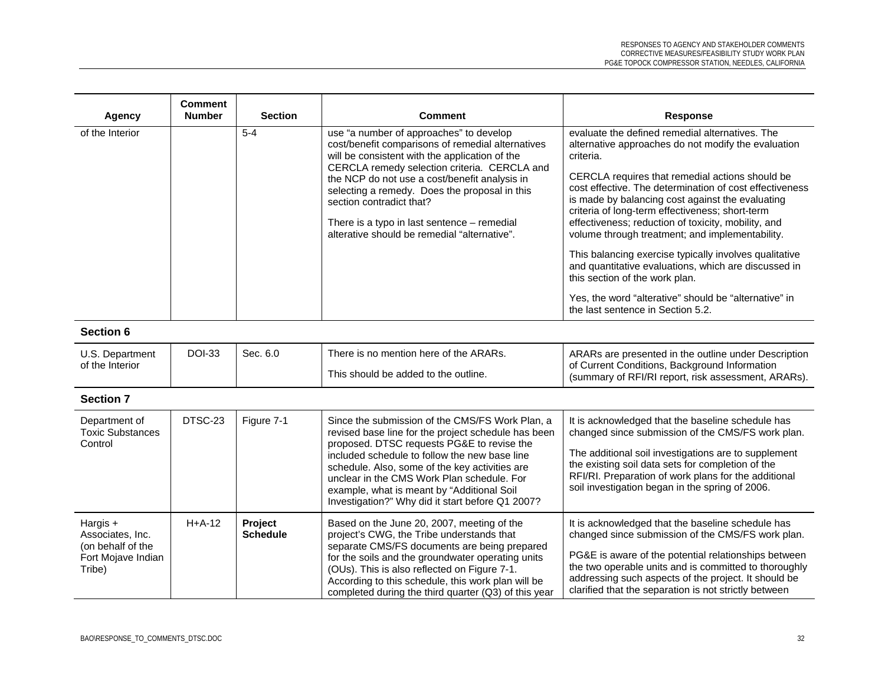| Agency                                                                            | <b>Comment</b><br><b>Number</b> | <b>Section</b>             | <b>Comment</b>                                                                                                                                                                                                                                                                                                                                                                                                              | Response                                                                                                                                                                                                                                                                                                                                                                                                                                                                                                                                                             |
|-----------------------------------------------------------------------------------|---------------------------------|----------------------------|-----------------------------------------------------------------------------------------------------------------------------------------------------------------------------------------------------------------------------------------------------------------------------------------------------------------------------------------------------------------------------------------------------------------------------|----------------------------------------------------------------------------------------------------------------------------------------------------------------------------------------------------------------------------------------------------------------------------------------------------------------------------------------------------------------------------------------------------------------------------------------------------------------------------------------------------------------------------------------------------------------------|
| of the Interior                                                                   |                                 | $5-4$                      | use "a number of approaches" to develop<br>cost/benefit comparisons of remedial alternatives<br>will be consistent with the application of the<br>CERCLA remedy selection criteria. CERCLA and<br>the NCP do not use a cost/benefit analysis in<br>selecting a remedy. Does the proposal in this<br>section contradict that?<br>There is a typo in last sentence – remedial<br>alterative should be remedial "alternative". | evaluate the defined remedial alternatives. The<br>alternative approaches do not modify the evaluation<br>criteria.<br>CERCLA requires that remedial actions should be<br>cost effective. The determination of cost effectiveness<br>is made by balancing cost against the evaluating<br>criteria of long-term effectiveness; short-term<br>effectiveness; reduction of toxicity, mobility, and<br>volume through treatment; and implementability.<br>This balancing exercise typically involves qualitative<br>and quantitative evaluations, which are discussed in |
|                                                                                   |                                 |                            |                                                                                                                                                                                                                                                                                                                                                                                                                             | this section of the work plan.<br>Yes, the word "alterative" should be "alternative" in                                                                                                                                                                                                                                                                                                                                                                                                                                                                              |
|                                                                                   |                                 |                            |                                                                                                                                                                                                                                                                                                                                                                                                                             | the last sentence in Section 5.2.                                                                                                                                                                                                                                                                                                                                                                                                                                                                                                                                    |
| <b>Section 6</b>                                                                  |                                 |                            |                                                                                                                                                                                                                                                                                                                                                                                                                             |                                                                                                                                                                                                                                                                                                                                                                                                                                                                                                                                                                      |
| U.S. Department<br>of the Interior                                                | <b>DOI-33</b>                   | Sec. 6.0                   | There is no mention here of the ARARs.<br>This should be added to the outline.                                                                                                                                                                                                                                                                                                                                              | ARARs are presented in the outline under Description<br>of Current Conditions, Background Information<br>(summary of RFI/RI report, risk assessment, ARARs).                                                                                                                                                                                                                                                                                                                                                                                                         |
| <b>Section 7</b>                                                                  |                                 |                            |                                                                                                                                                                                                                                                                                                                                                                                                                             |                                                                                                                                                                                                                                                                                                                                                                                                                                                                                                                                                                      |
| Department of<br><b>Toxic Substances</b><br>Control                               | DTSC-23                         | Figure 7-1                 | Since the submission of the CMS/FS Work Plan, a<br>revised base line for the project schedule has been<br>proposed. DTSC requests PG&E to revise the<br>included schedule to follow the new base line<br>schedule. Also, some of the key activities are<br>unclear in the CMS Work Plan schedule. For<br>example, what is meant by "Additional Soil<br>Investigation?" Why did it start before Q1 2007?                     | It is acknowledged that the baseline schedule has<br>changed since submission of the CMS/FS work plan.<br>The additional soil investigations are to supplement<br>the existing soil data sets for completion of the<br>RFI/RI. Preparation of work plans for the additional<br>soil investigation began in the spring of 2006.                                                                                                                                                                                                                                       |
| Hargis +<br>Associates, Inc.<br>(on behalf of the<br>Fort Mojave Indian<br>Tribe) | $H+A-12$                        | Project<br><b>Schedule</b> | Based on the June 20, 2007, meeting of the<br>project's CWG, the Tribe understands that<br>separate CMS/FS documents are being prepared<br>for the soils and the groundwater operating units<br>(OUs). This is also reflected on Figure 7-1.<br>According to this schedule, this work plan will be<br>completed during the third quarter (Q3) of this year                                                                  | It is acknowledged that the baseline schedule has<br>changed since submission of the CMS/FS work plan.<br>PG&E is aware of the potential relationships between<br>the two operable units and is committed to thoroughly<br>addressing such aspects of the project. It should be<br>clarified that the separation is not strictly between                                                                                                                                                                                                                             |